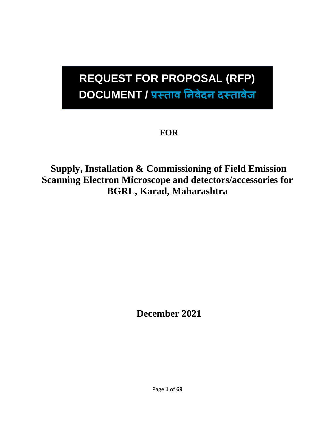### **REQUEST FOR PROPOSAL (RFP) DOCUMENT / प्रस्ताव निवेदि दस्तावेज**

### **FOR**

**Supply, Installation & Commissioning of Field Emission Scanning Electron Microscope and detectors/accessories for BGRL, Karad, Maharashtra**

**December 2021**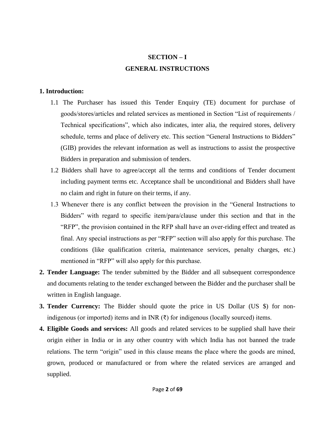#### **SECTION – I GENERAL INSTRUCTIONS**

#### **1. Introduction:**

- 1.1 The Purchaser has issued this Tender Enquiry (TE) document for purchase of goods/stores/articles and related services as mentioned in Section "List of requirements / Technical specifications", which also indicates, inter alia, the required stores, delivery schedule, terms and place of delivery etc. This section "General Instructions to Bidders" (GIB) provides the relevant information as well as instructions to assist the prospective Bidders in preparation and submission of tenders.
- 1.2 Bidders shall have to agree/accept all the terms and conditions of Tender document including payment terms etc. Acceptance shall be unconditional and Bidders shall have no claim and right in future on their terms, if any.
- 1.3 Whenever there is any conflict between the provision in the "General Instructions to Bidders" with regard to specific item/para/clause under this section and that in the "RFP", the provision contained in the RFP shall have an over-riding effect and treated as final. Any special instructions as per "RFP" section will also apply for this purchase. The conditions (like qualification criteria, maintenance services, penalty charges, etc.) mentioned in "RFP" will also apply for this purchase.
- **2. Tender Language:** The tender submitted by the Bidder and all subsequent correspondence and documents relating to the tender exchanged between the Bidder and the purchaser shall be written in English language.
- **3. Tender Currency:** The Bidder should quote the price in US Dollar (US \$) for nonindigenous (or imported) items and in INR  $(3)$  for indigenous (locally sourced) items.
- **4. Eligible Goods and services:** All goods and related services to be supplied shall have their origin either in India or in any other country with which India has not banned the trade relations. The term "origin" used in this clause means the place where the goods are mined, grown, produced or manufactured or from where the related services are arranged and supplied.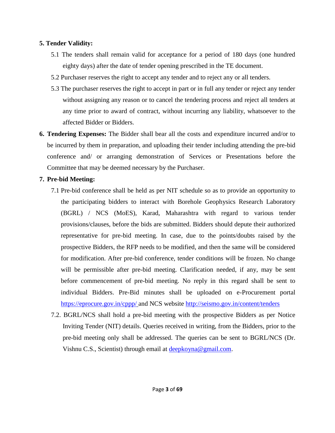#### **5. Tender Validity:**

- 5.1 The tenders shall remain valid for acceptance for a period of 180 days (one hundred eighty days) after the date of tender opening prescribed in the TE document.
- 5.2 Purchaser reserves the right to accept any tender and to reject any or all tenders.
- 5.3 The purchaser reserves the right to accept in part or in full any tender or reject any tender without assigning any reason or to cancel the tendering process and reject all tenders at any time prior to award of contract, without incurring any liability, whatsoever to the affected Bidder or Bidders.
- **6. Tendering Expenses:** The Bidder shall bear all the costs and expenditure incurred and/or to be incurred by them in preparation, and uploading their tender including attending the pre-bid conference and/ or arranging demonstration of Services or Presentations before the Committee that may be deemed necessary by the Purchaser.

#### **7. Pre-bid Meeting:**

- 7.1 Pre-bid conference shall be held as per NIT schedule so as to provide an opportunity to the participating bidders to interact with Borehole Geophysics Research Laboratory (BGRL) / NCS (MoES), Karad, Maharashtra with regard to various tender provisions/clauses, before the bids are submitted. Bidders should depute their authorized representative for pre-bid meeting. In case, due to the points/doubts raised by the prospective Bidders, the RFP needs to be modified, and then the same will be considered for modification. After pre-bid conference, tender conditions will be frozen. No change will be permissible after pre-bid meeting. Clarification needed, if any, may be sent before commencement of pre-bid meeting. No reply in this regard shall be sent to individual Bidders. Pre-Bid minutes shall be uploaded on e-Procurement portal <https://eprocure.gov.in/cppp/> and NCS website<http://seismo.gov.in/content/tenders>
- 7.2. BGRL/NCS shall hold a pre-bid meeting with the prospective Bidders as per Notice Inviting Tender (NIT) details. Queries received in writing, from the Bidders, prior to the pre-bid meeting only shall be addressed. The queries can be sent to BGRL/NCS (Dr. Vishnu C.S., Scientist) through email at deepkoyna@gmail.com.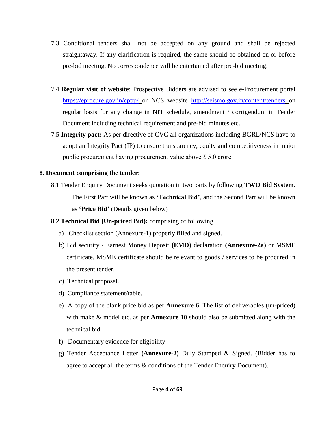- 7.3 Conditional tenders shall not be accepted on any ground and shall be rejected straightaway. If any clarification is required, the same should be obtained on or before pre-bid meeting. No correspondence will be entertained after pre-bid meeting.
- 7.4 **Regular visit of website**: Prospective Bidders are advised to see e-Procurement portal <https://eprocure.gov.in/cppp/> or NCS website <http://seismo.gov.in/content/tenders> on regular basis for any change in NIT schedule, amendment / corrigendum in Tender Document including technical requirement and pre-bid minutes etc.
- 7.5 **Integrity pact:** As per directive of CVC all organizations including BGRL/NCS have to adopt an Integrity Pact (IP) to ensure transparency, equity and competitiveness in major public procurement having procurement value above ₹ 5.0 crore.

#### **8. Document comprising the tender:**

8.1 Tender Enquiry Document seeks quotation in two parts by following **TWO Bid System**. The First Part will be known as **'Technical Bid'**, and the Second Part will be known as **'Price Bid'** (Details given below)

#### 8.2 **Technical Bid (Un-priced Bid):** comprising of following

- a) Checklist section (Annexure-1) properly filled and signed.
- b) Bid security / Earnest Money Deposit **(EMD)** declaration **(Annexure-2a)** or MSME certificate. MSME certificate should be relevant to goods / services to be procured in the present tender.
- c) Technical proposal.
- d) Compliance statement/table.
- e) A copy of the blank price bid as per **Annexure 6.** The list of deliverables (un-priced) with make & model etc. as per **Annexure 10** should also be submitted along with the technical bid.
- f) Documentary evidence for eligibility
- g) Tender Acceptance Letter **(Annexure-2)** Duly Stamped & Signed. (Bidder has to agree to accept all the terms & conditions of the Tender Enquiry Document).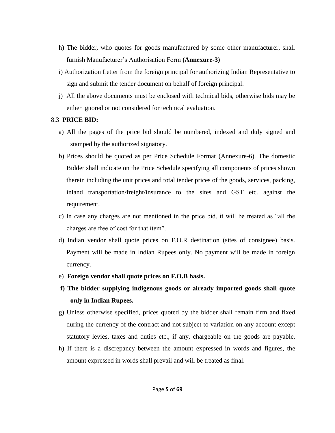- h) The bidder, who quotes for goods manufactured by some other manufacturer, shall furnish Manufacturer's Authorisation Form **(Annexure-3)**
- i) Authorization Letter from the foreign principal for authorizing Indian Representative to sign and submit the tender document on behalf of foreign principal.
- j) All the above documents must be enclosed with technical bids, otherwise bids may be either ignored or not considered for technical evaluation.

#### 8.3 **PRICE BID:**

- a) All the pages of the price bid should be numbered, indexed and duly signed and stamped by the authorized signatory.
- b) Prices should be quoted as per Price Schedule Format (Annexure-6). The domestic Bidder shall indicate on the Price Schedule specifying all components of prices shown therein including the unit prices and total tender prices of the goods, services, packing, inland transportation/freight/insurance to the sites and GST etc. against the requirement.
- c) In case any charges are not mentioned in the price bid, it will be treated as "all the charges are free of cost for that item".
- d) Indian vendor shall quote prices on F.O.R destination (sites of consignee) basis. Payment will be made in Indian Rupees only. No payment will be made in foreign currency.
- e) **Foreign vendor shall quote prices on F.O.B basis.**
- **f) The bidder supplying indigenous goods or already imported goods shall quote only in Indian Rupees.**
- g) Unless otherwise specified, prices quoted by the bidder shall remain firm and fixed during the currency of the contract and not subject to variation on any account except statutory levies, taxes and duties etc., if any, chargeable on the goods are payable.
- h) If there is a discrepancy between the amount expressed in words and figures, the amount expressed in words shall prevail and will be treated as final.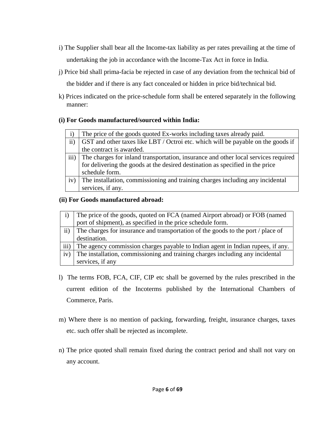- i) The Supplier shall bear all the Income-tax liability as per rates prevailing at the time of undertaking the job in accordance with the Income-Tax Act in force in India.
- j) Price bid shall prima-facia be rejected in case of any deviation from the technical bid of the bidder and if there is any fact concealed or hidden in price bid/technical bid.
- k) Prices indicated on the price-schedule form shall be entered separately in the following manner:

#### **(i) For Goods manufactured/sourced within India:**

|      | The price of the goods quoted Ex-works including taxes already paid.               |
|------|------------------------------------------------------------------------------------|
|      | GST and other taxes like LBT / Octroi etc. which will be payable on the goods if   |
|      | the contract is awarded.                                                           |
| iii) | The charges for inland transportation, insurance and other local services required |
|      | for delivering the goods at the desired destination as specified in the price      |
|      | schedule form.                                                                     |
| iv)  | The installation, commissioning and training charges including any incidental      |
|      | services, if any.                                                                  |

#### **(ii) For Goods manufactured abroad:**

|           | The price of the goods, quoted on FCA (named Airport abroad) or FOB (named       |
|-----------|----------------------------------------------------------------------------------|
|           | port of shipment), as specified in the price schedule form.                      |
| $\rm ii)$ | The charges for insurance and transportation of the goods to the port / place of |
|           | destination.                                                                     |
| iii)      | The agency commission charges payable to Indian agent in Indian rupees, if any.  |
| iv)       | The installation, commissioning and training charges including any incidental    |
|           | services, if any                                                                 |

- l) The terms FOB, FCA, CIF, CIP etc shall be governed by the rules prescribed in the current edition of the Incoterms published by the International Chambers of Commerce, Paris.
- m) Where there is no mention of packing, forwarding, freight, insurance charges, taxes etc. such offer shall be rejected as incomplete.
- n) The price quoted shall remain fixed during the contract period and shall not vary on any account.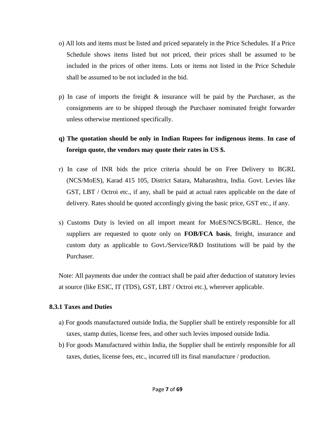- o) All lots and items must be listed and priced separately in the Price Schedules. If a Price Schedule shows items listed but not priced, their prices shall be assumed to be included in the prices of other items. Lots or items not listed in the Price Schedule shall be assumed to be not included in the bid.
- p) In case of imports the freight & insurance will be paid by the Purchaser, as the consignments are to be shipped through the Purchaser nominated freight forwarder unless otherwise mentioned specifically.

#### **q) The quotation should be only in Indian Rupees for indigenous items**. **In case of foreign quote, the vendors may quote their rates in US \$.**

- r) In case of INR bids the price criteria should be on Free Delivery to BGRL (NCS/MoES), Karad 415 105, District Satara, Maharashtra, India. Govt. Levies like GST, LBT / Octroi etc., if any, shall be paid at actual rates applicable on the date of delivery. Rates should be quoted accordingly giving the basic price, GST etc., if any.
- s) Customs Duty is levied on all import meant for MoES/NCS/BGRL. Hence, the suppliers are requested to quote only on **FOB/FCA basis**, freight, insurance and custom duty as applicable to Govt./Service/R&D Institutions will be paid by the Purchaser.

Note: All payments due under the contract shall be paid after deduction of statutory levies at source (like ESIC, IT (TDS), GST, LBT / Octroi etc.), wherever applicable.

#### **8.3.1 Taxes and Duties**

- a) For goods manufactured outside India, the Supplier shall be entirely responsible for all taxes, stamp duties, license fees, and other such levies imposed outside India.
- b) For goods Manufactured within India, the Supplier shall be entirely responsible for all taxes, duties, license fees, etc., incurred till its final manufacture / production.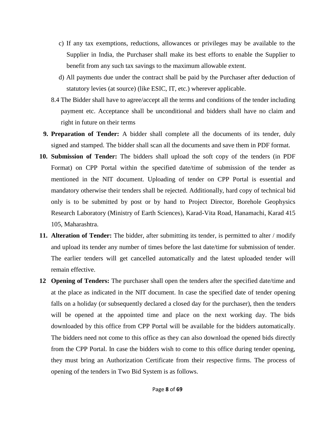- c) If any tax exemptions, reductions, allowances or privileges may be available to the Supplier in India, the Purchaser shall make its best efforts to enable the Supplier to benefit from any such tax savings to the maximum allowable extent.
- d) All payments due under the contract shall be paid by the Purchaser after deduction of statutory levies (at source) (like ESIC, IT, etc.) wherever applicable.
- 8.4 The Bidder shall have to agree/accept all the terms and conditions of the tender including payment etc. Acceptance shall be unconditional and bidders shall have no claim and right in future on their terms
- **9. Preparation of Tender:** A bidder shall complete all the documents of its tender, duly signed and stamped. The bidder shall scan all the documents and save them in PDF format.
- **10. Submission of Tender:** The bidders shall upload the soft copy of the tenders (in PDF Format) on CPP Portal within the specified date/time of submission of the tender as mentioned in the NIT document. Uploading of tender on CPP Portal is essential and mandatory otherwise their tenders shall be rejected. Additionally, hard copy of technical bid only is to be submitted by post or by hand to Project Director, Borehole Geophysics Research Laboratory (Ministry of Earth Sciences), Karad-Vita Road, Hanamachi, Karad 415 105, Maharashtra.
- **11. Alteration of Tender:** The bidder, after submitting its tender, is permitted to alter / modify and upload its tender any number of times before the last date/time for submission of tender. The earlier tenders will get cancelled automatically and the latest uploaded tender will remain effective.
- **12 Opening of Tenders:** The purchaser shall open the tenders after the specified date/time and at the place as indicated in the NIT document. In case the specified date of tender opening falls on a holiday (or subsequently declared a closed day for the purchaser), then the tenders will be opened at the appointed time and place on the next working day. The bids downloaded by this office from CPP Portal will be available for the bidders automatically. The bidders need not come to this office as they can also download the opened bids directly from the CPP Portal. In case the bidders wish to come to this office during tender opening, they must bring an Authorization Certificate from their respective firms. The process of opening of the tenders in Two Bid System is as follows.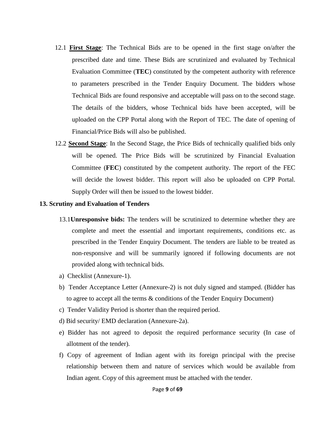- 12.1 **First Stage**: The Technical Bids are to be opened in the first stage on/after the prescribed date and time. These Bids are scrutinized and evaluated by Technical Evaluation Committee (**TEC**) constituted by the competent authority with reference to parameters prescribed in the Tender Enquiry Document. The bidders whose Technical Bids are found responsive and acceptable will pass on to the second stage. The details of the bidders, whose Technical bids have been accepted, will be uploaded on the CPP Portal along with the Report of TEC. The date of opening of Financial/Price Bids will also be published.
- 12.2 **Second Stage**: In the Second Stage, the Price Bids of technically qualified bids only will be opened. The Price Bids will be scrutinized by Financial Evaluation Committee (**FEC**) constituted by the competent authority. The report of the FEC will decide the lowest bidder. This report will also be uploaded on CPP Portal. Supply Order will then be issued to the lowest bidder.

#### **13. Scrutiny and Evaluation of Tenders**

- 13.1**Unresponsive bids:** The tenders will be scrutinized to determine whether they are complete and meet the essential and important requirements, conditions etc. as prescribed in the Tender Enquiry Document. The tenders are liable to be treated as non-responsive and will be summarily ignored if following documents are not provided along with technical bids.
- a) Checklist (Annexure-1).
- b) Tender Acceptance Letter (Annexure-2) is not duly signed and stamped. (Bidder has to agree to accept all the terms & conditions of the Tender Enquiry Document)
- c) Tender Validity Period is shorter than the required period.
- d) Bid security/ EMD declaration (Annexure-2a).
- e) Bidder has not agreed to deposit the required performance security (In case of allotment of the tender).
- f) Copy of agreement of Indian agent with its foreign principal with the precise relationship between them and nature of services which would be available from Indian agent. Copy of this agreement must be attached with the tender.

#### Page **9** of **69**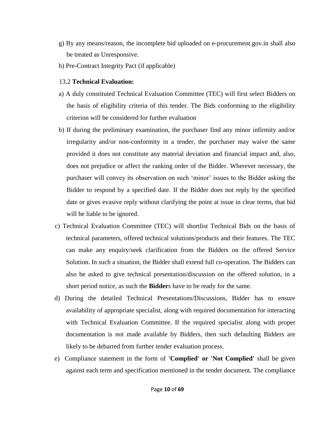- g) By any means/reason, the incomplete bid uploaded on e-procurement.gov.in shall also be treated as Unresponsive.
- h) Pre-Contract Integrity Pact (if applicable)

#### 13.2 **Technical Evaluation:**

- a) A duly constituted Technical Evaluation Committee (TEC) will first select Bidders on the basis of eligibility criteria of this tender. The Bids conforming to the eligibility criterion will be considered for further evaluation
- b) If during the preliminary examination, the purchaser find any minor infirmity and/or irregularity and/or non-conformity in a tender, the purchaser may waive the same provided it does not constitute any material deviation and financial impact and, also, does not prejudice or affect the ranking order of the Bidder. Wherever necessary, the purchaser will convey its observation on such 'minor' issues to the Bidder asking the Bidder to respond by a specified date. If the Bidder does not reply by the specified date or gives evasive reply without clarifying the point at issue in clear terms, that bid will be liable to be ignored.
- c) Technical Evaluation Committee (TEC) will shortlist Technical Bids on the basis of technical parameters, offered technical solutions/products and their features. The TEC can make any enquiry/seek clarification from the Bidders on the offered Service Solution. In such a situation, the Bidder shall extend full co-operation. The Bidders can also be asked to give technical presentation/discussion on the offered solution, in a short period notice, as such the **Bidder**s have to be ready for the same.
- d) During the detailed Technical Presentations/Discussions, Bidder has to ensure availability of appropriate specialist, along with required documentation for interacting with Technical Evaluation Committee. If the required specialist along with proper documentation is not made available by Bidders, then such defaulting Bidders are likely to be debarred from further tender evaluation process.
- e) Compliance statement in the form of **'Complied' or 'Not Complied'** shall be given against each term and specification mentioned in the tender document. The compliance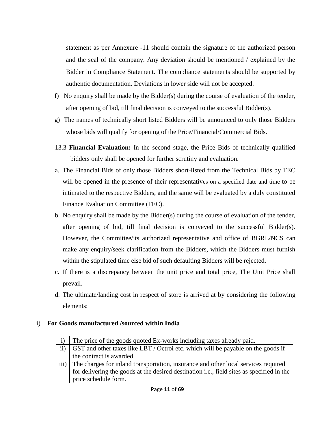statement as per Annexure -11 should contain the signature of the authorized person and the seal of the company. Any deviation should be mentioned / explained by the Bidder in Compliance Statement. The compliance statements should be supported by authentic documentation. Deviations in lower side will not be accepted.

- f) No enquiry shall be made by the Bidder(s) during the course of evaluation of the tender, after opening of bid, till final decision is conveyed to the successful Bidder(s).
- g) The names of technically short listed Bidders will be announced to only those Bidders whose bids will qualify for opening of the Price/Financial/Commercial Bids.
- 13.3 **Financial Evaluation:** In the second stage, the Price Bids of technically qualified bidders only shall be opened for further scrutiny and evaluation.
- a. The Financial Bids of only those Bidders short-listed from the Technical Bids by TEC will be opened in the presence of their representatives on a specified date and time to be intimated to the respective Bidders, and the same will be evaluated by a duly constituted Finance Evaluation Committee (FEC).
- b. No enquiry shall be made by the Bidder(s) during the course of evaluation of the tender, after opening of bid, till final decision is conveyed to the successful Bidder(s). However, the Committee/its authorized representative and office of BGRL/NCS can make any enquiry/seek clarification from the Bidders, which the Bidders must furnish within the stipulated time else bid of such defaulting Bidders will be rejected.
- c. If there is a discrepancy between the unit price and total price, The Unit Price shall prevail.
- d. The ultimate/landing cost in respect of store is arrived at by considering the following elements:

#### i) **For Goods manufactured /sourced within India**

| $\ddot{1}$ | The price of the goods quoted Ex-works including taxes already paid.                      |
|------------|-------------------------------------------------------------------------------------------|
| ii)        | GST and other taxes like LBT / Octroi etc. which will be payable on the goods if          |
|            | the contract is awarded.                                                                  |
|            | iii) The charges for inland transportation, insurance and other local services required   |
|            | for delivering the goods at the desired destination i.e., field sites as specified in the |
|            | price schedule form.                                                                      |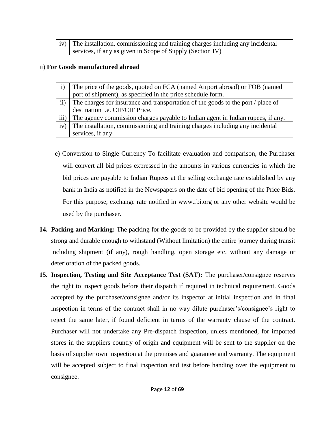| iv) The installation, commissioning and training charges including any incidental |
|-----------------------------------------------------------------------------------|
| services, if any as given in Scope of Supply (Section IV)                         |

#### ii) **For Goods manufactured abroad**

|           | The price of the goods, quoted on FCA (named Airport abroad) or FOB (named       |
|-----------|----------------------------------------------------------------------------------|
|           | port of shipment), as specified in the price schedule form.                      |
| $\rm ii)$ | The charges for insurance and transportation of the goods to the port / place of |
|           | destination <i>i.e.</i> CIP/CIF Price.                                           |
| iii)      | The agency commission charges payable to Indian agent in Indian rupees, if any.  |
| iv)       | The installation, commissioning and training charges including any incidental    |
|           | services, if any                                                                 |
|           |                                                                                  |

- e) Conversion to Single Currency To facilitate evaluation and comparison, the Purchaser will convert all bid prices expressed in the amounts in various currencies in which the bid prices are payable to Indian Rupees at the selling exchange rate established by any bank in India as notified in the Newspapers on the date of bid opening of the Price Bids. For this purpose, exchange rate notified in www.rbi.org or any other website would be used by the purchaser.
- **14. Packing and Marking:** The packing for the goods to be provided by the supplier should be strong and durable enough to withstand (Without limitation) the entire journey during transit including shipment (if any), rough handling, open storage etc. without any damage or deterioration of the packed goods.
- **15. Inspection, Testing and Site Acceptance Test (SAT):** The purchaser/consignee reserves the right to inspect goods before their dispatch if required in technical requirement. Goods accepted by the purchaser/consignee and/or its inspector at initial inspection and in final inspection in terms of the contract shall in no way dilute purchaser's/consignee's right to reject the same later, if found deficient in terms of the warranty clause of the contract. Purchaser will not undertake any Pre-dispatch inspection, unless mentioned, for imported stores in the suppliers country of origin and equipment will be sent to the supplier on the basis of supplier own inspection at the premises and guarantee and warranty. The equipment will be accepted subject to final inspection and test before handing over the equipment to consignee.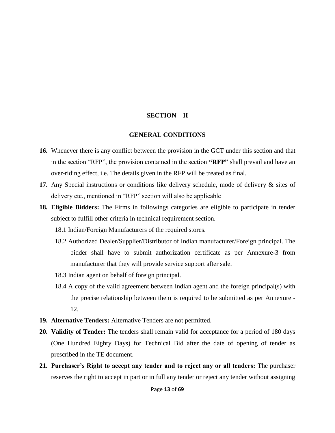#### **SECTION – II**

#### **GENERAL CONDITIONS**

- **16.** Whenever there is any conflict between the provision in the GCT under this section and that in the section "RFP", the provision contained in the section **"RFP"** shall prevail and have an over-riding effect, i.e. The details given in the RFP will be treated as final.
- **17.** Any Special instructions or conditions like delivery schedule, mode of delivery & sites of delivery etc., mentioned in "RFP" section will also be applicable
- **18. Eligible Bidders:** The Firms in followings categories are eligible to participate in tender subject to fulfill other criteria in technical requirement section.
	- 18.1 Indian/Foreign Manufacturers of the required stores.
	- 18.2 Authorized Dealer/Supplier/Distributor of Indian manufacturer/Foreign principal. The bidder shall have to submit authorization certificate as per Annexure-3 from manufacturer that they will provide service support after sale.
	- 18.3 Indian agent on behalf of foreign principal.
	- 18.4 A copy of the valid agreement between Indian agent and the foreign principal(s) with the precise relationship between them is required to be submitted as per Annexure - 12.
- **19. Alternative Tenders:** Alternative Tenders are not permitted.
- **20. Validity of Tender:** The tenders shall remain valid for acceptance for a period of 180 days (One Hundred Eighty Days) for Technical Bid after the date of opening of tender as prescribed in the TE document.
- **21. Purchaser's Right to accept any tender and to reject any or all tenders:** The purchaser reserves the right to accept in part or in full any tender or reject any tender without assigning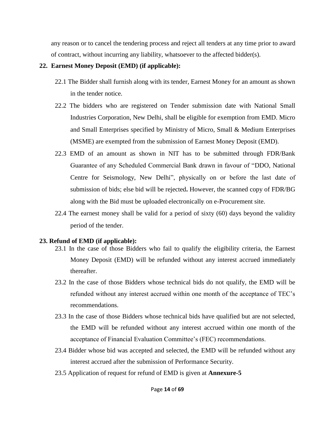any reason or to cancel the tendering process and reject all tenders at any time prior to award of contract, without incurring any liability, whatsoever to the affected bidder(s).

#### **22. Earnest Money Deposit (EMD) (if applicable):**

- 22.1 The Bidder shall furnish along with its tender, Earnest Money for an amount as shown in the tender notice.
- 22.2 The bidders who are registered on Tender submission date with National Small Industries Corporation, New Delhi, shall be eligible for exemption from EMD. Micro and Small Enterprises specified by Ministry of Micro, Small & Medium Enterprises (MSME) are exempted from the submission of Earnest Money Deposit (EMD).
- 22.3 EMD of an amount as shown in NIT has to be submitted through FDR/Bank Guarantee of any Scheduled Commercial Bank drawn in favour of "DDO, National Centre for Seismology, New Delhi", physically on or before the last date of submission of bids; else bid will be rejected**.** However, the scanned copy of FDR/BG along with the Bid must be uploaded electronically on e-Procurement site.
- 22.4 The earnest money shall be valid for a period of sixty (60) days beyond the validity period of the tender.

#### **23. Refund of EMD (if applicable):**

- 23.1 In the case of those Bidders who fail to qualify the eligibility criteria, the Earnest Money Deposit (EMD) will be refunded without any interest accrued immediately thereafter.
- 23.2 In the case of those Bidders whose technical bids do not qualify, the EMD will be refunded without any interest accrued within one month of the acceptance of TEC's recommendations.
- 23.3 In the case of those Bidders whose technical bids have qualified but are not selected, the EMD will be refunded without any interest accrued within one month of the acceptance of Financial Evaluation Committee's (FEC) recommendations.
- 23.4 Bidder whose bid was accepted and selected, the EMD will be refunded without any interest accrued after the submission of Performance Security.
- 23.5 Application of request for refund of EMD is given at **Annexure-5**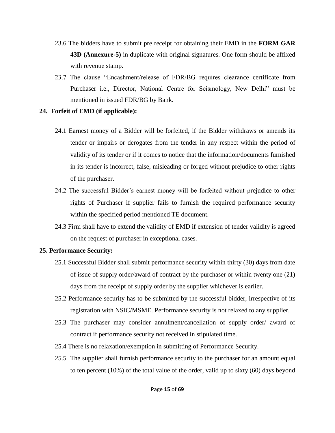- 23.6 The bidders have to submit pre receipt for obtaining their EMD in the **FORM GAR 43D (Annexure-5)** in duplicate with original signatures. One form should be affixed with revenue stamp.
- 23.7 The clause "Encashment/release of FDR/BG requires clearance certificate from Purchaser i.e., Director, National Centre for Seismology, New Delhi" must be mentioned in issued FDR/BG by Bank.

#### **24. Forfeit of EMD (if applicable):**

- 24.1 Earnest money of a Bidder will be forfeited, if the Bidder withdraws or amends its tender or impairs or derogates from the tender in any respect within the period of validity of its tender or if it comes to notice that the information/documents furnished in its tender is incorrect, false, misleading or forged without prejudice to other rights of the purchaser.
- 24.2 The successful Bidder's earnest money will be forfeited without prejudice to other rights of Purchaser if supplier fails to furnish the required performance security within the specified period mentioned TE document.
- 24.3 Firm shall have to extend the validity of EMD if extension of tender validity is agreed on the request of purchaser in exceptional cases.

#### **25. Performance Security:**

- 25.1 Successful Bidder shall submit performance security within thirty (30) days from date of issue of supply order/award of contract by the purchaser or within twenty one (21) days from the receipt of supply order by the supplier whichever is earlier.
- 25.2 Performance security has to be submitted by the successful bidder, irrespective of its registration with NSIC/MSME. Performance security is not relaxed to any supplier.
- 25.3 The purchaser may consider annulment/cancellation of supply order/ award of contract if performance security not received in stipulated time.
- 25.4 There is no relaxation/exemption in submitting of Performance Security.
- 25.5 The supplier shall furnish performance security to the purchaser for an amount equal to ten percent (10%) of the total value of the order, valid up to sixty (60) days beyond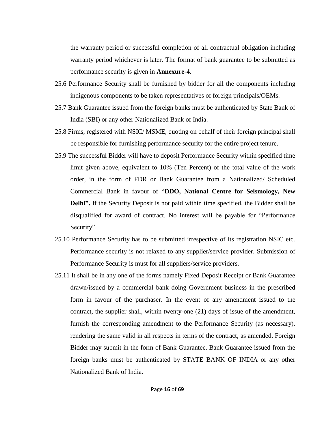the warranty period or successful completion of all contractual obligation including warranty period whichever is later. The format of bank guarantee to be submitted as performance security is given in **Annexure-4**.

- 25.6 Performance Security shall be furnished by bidder for all the components including indigenous components to be taken representatives of foreign principals/OEMs.
- 25.7 Bank Guarantee issued from the foreign banks must be authenticated by State Bank of India (SBI) or any other Nationalized Bank of India.
- 25.8 Firms, registered with NSIC/ MSME, quoting on behalf of their foreign principal shall be responsible for furnishing performance security for the entire project tenure.
- 25.9 The successful Bidder will have to deposit Performance Security within specified time limit given above, equivalent to 10% (Ten Percent) of the total value of the work order, in the form of FDR or Bank Guarantee from a Nationalized/ Scheduled Commercial Bank in favour of "**DDO, National Centre for Seismology, New Delhi".** If the Security Deposit is not paid within time specified, the Bidder shall be disqualified for award of contract. No interest will be payable for "Performance Security".
- 25.10 Performance Security has to be submitted irrespective of its registration NSIC etc. Performance security is not relaxed to any supplier/service provider. Submission of Performance Security is must for all suppliers/service providers.
- 25.11 It shall be in any one of the forms namely Fixed Deposit Receipt or Bank Guarantee drawn/issued by a commercial bank doing Government business in the prescribed form in favour of the purchaser. In the event of any amendment issued to the contract, the supplier shall, within twenty-one (21) days of issue of the amendment, furnish the corresponding amendment to the Performance Security (as necessary), rendering the same valid in all respects in terms of the contract, as amended. Foreign Bidder may submit in the form of Bank Guarantee. Bank Guarantee issued from the foreign banks must be authenticated by STATE BANK OF INDIA or any other Nationalized Bank of India.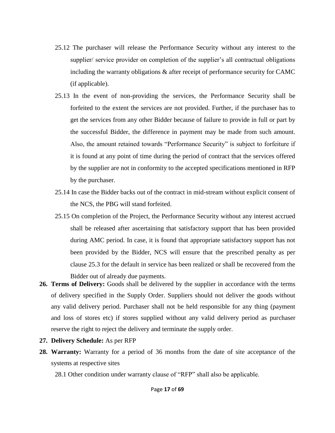- 25.12 The purchaser will release the Performance Security without any interest to the supplier/ service provider on completion of the supplier's all contractual obligations including the warranty obligations & after receipt of performance security for CAMC (if applicable).
- 25.13 In the event of non-providing the services, the Performance Security shall be forfeited to the extent the services are not provided. Further, if the purchaser has to get the services from any other Bidder because of failure to provide in full or part by the successful Bidder, the difference in payment may be made from such amount. Also, the amount retained towards "Performance Security" is subject to forfeiture if it is found at any point of time during the period of contract that the services offered by the supplier are not in conformity to the accepted specifications mentioned in RFP by the purchaser.
- 25.14 In case the Bidder backs out of the contract in mid-stream without explicit consent of the NCS, the PBG will stand forfeited.
- 25.15 On completion of the Project, the Performance Security without any interest accrued shall be released after ascertaining that satisfactory support that has been provided during AMC period. In case, it is found that appropriate satisfactory support has not been provided by the Bidder, NCS will ensure that the prescribed penalty as per clause 25.3 for the default in service has been realized or shall be recovered from the Bidder out of already due payments.
- **26. Terms of Delivery:** Goods shall be delivered by the supplier in accordance with the terms of delivery specified in the Supply Order. Suppliers should not deliver the goods without any valid delivery period. Purchaser shall not be held responsible for any thing (payment and loss of stores etc) if stores supplied without any valid delivery period as purchaser reserve the right to reject the delivery and terminate the supply order.
- **27. Delivery Schedule:** As per RFP
- **28. Warranty:** Warranty for a period of 36 months from the date of site acceptance of the systems at respective sites

28.1 Other condition under warranty clause of "RFP" shall also be applicable.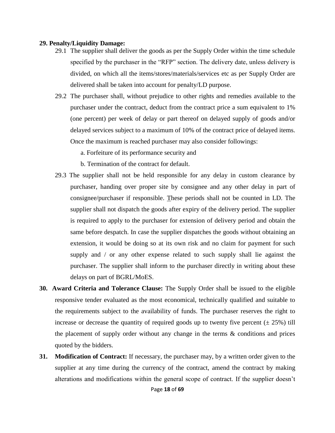#### **29. Penalty/Liquidity Damage:**

- 29.1 The supplier shall deliver the goods as per the Supply Order within the time schedule specified by the purchaser in the "RFP" section. The delivery date, unless delivery is divided, on which all the items/stores/materials/services etc as per Supply Order are delivered shall be taken into account for penalty/LD purpose.
- 29.2 The purchaser shall, without prejudice to other rights and remedies available to the purchaser under the contract, deduct from the contract price a sum equivalent to 1% (one percent) per week of delay or part thereof on delayed supply of goods and/or delayed services subject to a maximum of 10% of the contract price of delayed items. Once the maximum is reached purchaser may also consider followings:
	- a. Forfeiture of its performance security and
	- b. Termination of the contract for default.
- 29.3 The supplier shall not be held responsible for any delay in custom clearance by purchaser, handing over proper site by consignee and any other delay in part of consignee/purchaser if responsible. These periods shall not be counted in LD. The supplier shall not dispatch the goods after expiry of the delivery period. The supplier is required to apply to the purchaser for extension of delivery period and obtain the same before despatch. In case the supplier dispatches the goods without obtaining an extension, it would be doing so at its own risk and no claim for payment for such supply and / or any other expense related to such supply shall lie against the purchaser. The supplier shall inform to the purchaser directly in writing about these delays on part of BGRL/MoES.
- **30. Award Criteria and Tolerance Clause:** The Supply Order shall be issued to the eligible responsive tender evaluated as the most economical, technically qualified and suitable to the requirements subject to the availability of funds. The purchaser reserves the right to increase or decrease the quantity of required goods up to twenty five percent  $(\pm 25\%)$  till the placement of supply order without any change in the terms & conditions and prices quoted by the bidders.
- **31. Modification of Contract:** If necessary, the purchaser may, by a written order given to the supplier at any time during the currency of the contract, amend the contract by making alterations and modifications within the general scope of contract. If the supplier doesn't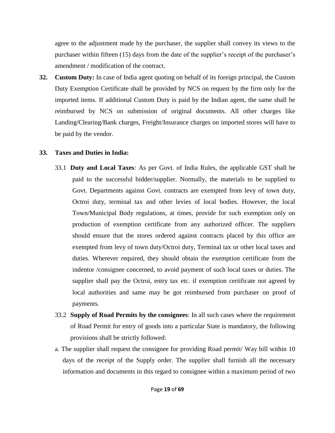agree to the adjustment made by the purchaser, the supplier shall convey its views to the purchaser within fifteen (15) days from the date of the supplier's receipt of the purchaser's amendment / modification of the contract.

**32. Custom Duty:** In case of India agent quoting on behalf of its foreign principal, the Custom Duty Exemption Certificate shall be provided by NCS on request by the firm only for the imported items. If additional Custom Duty is paid by the Indian agent, the same shall be reimbursed by NCS on submission of original documents. All other charges like Landing/Clearing/Bank charges, Freight/Insurance charges on imported stores will have to be paid by the vendor.

#### **33. Taxes and Duties in India:**

- 33.1 **Duty and Local Taxes**: As per Govt. of India Rules, the applicable GST shall be paid to the successful bidder/supplier. Normally, the materials to be supplied to Govt. Departments against Govt. contracts are exempted from levy of town duty, Octroi duty, terminal tax and other levies of local bodies. However, the local Town/Municipal Body regulations, at times, provide for such exemption only on production of exemption certificate from any authorized officer. The suppliers should ensure that the stores ordered against contracts placed by this office are exempted from levy of town duty/Octroi duty, Terminal tax or other local taxes and duties. Wherever required, they should obtain the exemption certificate from the indentor /consignee concerned, to avoid payment of such local taxes or duties. The supplier shall pay the Octroi, entry tax etc. if exemption certificate not agreed by local authorities and same may be got reimbursed from purchaser on proof of payments.
- 33.2 **Supply of Road Permits by the consignees**: In all such cases where the requirement of Road Permit for entry of goods into a particular State is mandatory, the following provisions shall be strictly followed:
- a. The supplier shall request the consignee for providing Road permit/ Way bill within 10 days of the receipt of the Supply order. The supplier shall furnish all the necessary information and documents in this regard to consignee within a maximum period of two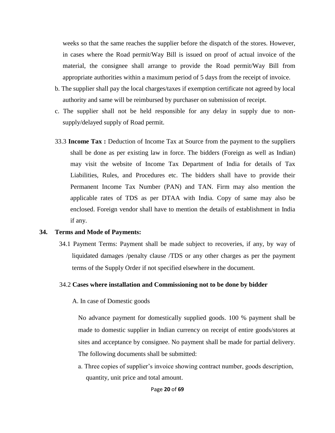weeks so that the same reaches the supplier before the dispatch of the stores. However, in cases where the Road permit/Way Bill is issued on proof of actual invoice of the material, the consignee shall arrange to provide the Road permit/Way Bill from appropriate authorities within a maximum period of 5 days from the receipt of invoice.

- b. The supplier shall pay the local charges/taxes if exemption certificate not agreed by local authority and same will be reimbursed by purchaser on submission of receipt.
- c. The supplier shall not be held responsible for any delay in supply due to nonsupply/delayed supply of Road permit.
- 33.3 **Income Tax :** Deduction of Income Tax at Source from the payment to the suppliers shall be done as per existing law in force. The bidders (Foreign as well as Indian) may visit the website of Income Tax Department of India for details of Tax Liabilities, Rules, and Procedures etc. The bidders shall have to provide their Permanent Income Tax Number (PAN) and TAN. Firm may also mention the applicable rates of TDS as per DTAA with India. Copy of same may also be enclosed. Foreign vendor shall have to mention the details of establishment in India if any.

#### **34. Terms and Mode of Payments:**

34.1 Payment Terms: Payment shall be made subject to recoveries, if any, by way of liquidated damages /penalty clause /TDS or any other charges as per the payment terms of the Supply Order if not specified elsewhere in the document.

#### 34.2 **Cases where installation and Commissioning not to be done by bidder**

A. In case of Domestic goods

No advance payment for domestically supplied goods. 100 % payment shall be made to domestic supplier in Indian currency on receipt of entire goods/stores at sites and acceptance by consignee. No payment shall be made for partial delivery. The following documents shall be submitted:

a. Three copies of supplier's invoice showing contract number, goods description, quantity, unit price and total amount.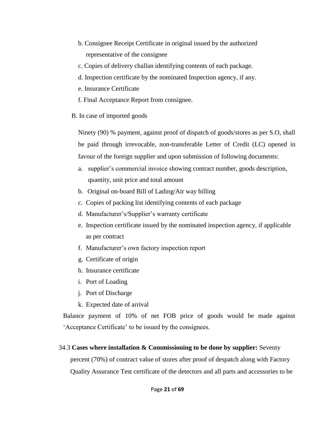- b. Consignee Receipt Certificate in original issued by the authorized representative of the consignee
- c. Copies of delivery challan identifying contents of each package.
- d. Inspection certificate by the nominated Inspection agency, if any.
- e. Insurance Certificate
- f. Final Acceptance Report from consignee.
- B. In case of imported goods

Ninety (90) % payment, against proof of dispatch of goods/stores as per S.O, shall be paid through irrevocable, non-transferable Letter of Credit (LC) opened in favour of the foreign supplier and upon submission of following documents:

- a. supplier's commercial invoice showing contract number, goods description, quantity, unit price and total amount
- b. Original on-board Bill of Lading/Air way billing
- c. Copies of packing list identifying contents of each package
- d. Manufacturer's/Supplier's warranty certificate
- e. Inspection certificate issued by the nominated inspection agency, if applicable as per contract
- f. Manufacturer's own factory inspection report
- g. Certificate of origin
- h. Insurance certificate
- i. Port of Loading
- j. Port of Discharge
- k. Expected date of arrival

Balance payment of 10% of net FOB price of goods would be made against 'Acceptance Certificate' to be issued by the consignees.

#### 34.3 **Cases where installation & Commissioning to be done by supplier:** Seventy

percent (70%) of contract value of stores after proof of despatch along with Factory Quality Assurance Test certificate of the detectors and all parts and accessories to be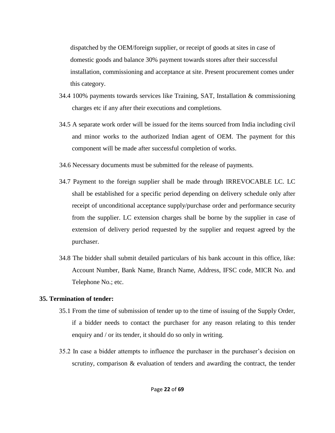dispatched by the OEM/foreign supplier, or receipt of goods at sites in case of domestic goods and balance 30% payment towards stores after their successful installation, commissioning and acceptance at site. Present procurement comes under this category.

- 34.4 100% payments towards services like Training, SAT, Installation & commissioning charges etc if any after their executions and completions.
- 34.5 A separate work order will be issued for the items sourced from India including civil and minor works to the authorized Indian agent of OEM. The payment for this component will be made after successful completion of works.
- 34.6 Necessary documents must be submitted for the release of payments.
- 34.7 Payment to the foreign supplier shall be made through IRREVOCABLE LC. LC shall be established for a specific period depending on delivery schedule only after receipt of unconditional acceptance supply/purchase order and performance security from the supplier. LC extension charges shall be borne by the supplier in case of extension of delivery period requested by the supplier and request agreed by the purchaser.
- 34.8 The bidder shall submit detailed particulars of his bank account in this office, like: Account Number, Bank Name, Branch Name, Address, IFSC code, MICR No. and Telephone No.; etc.

#### **35. Termination of tender:**

- 35.1 From the time of submission of tender up to the time of issuing of the Supply Order, if a bidder needs to contact the purchaser for any reason relating to this tender enquiry and / or its tender, it should do so only in writing.
- 35.2 In case a bidder attempts to influence the purchaser in the purchaser's decision on scrutiny, comparison & evaluation of tenders and awarding the contract, the tender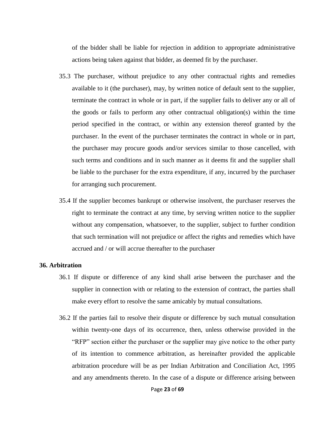of the bidder shall be liable for rejection in addition to appropriate administrative actions being taken against that bidder, as deemed fit by the purchaser.

- 35.3 The purchaser, without prejudice to any other contractual rights and remedies available to it (the purchaser), may, by written notice of default sent to the supplier, terminate the contract in whole or in part, if the supplier fails to deliver any or all of the goods or fails to perform any other contractual obligation(s) within the time period specified in the contract, or within any extension thereof granted by the purchaser. In the event of the purchaser terminates the contract in whole or in part, the purchaser may procure goods and/or services similar to those cancelled, with such terms and conditions and in such manner as it deems fit and the supplier shall be liable to the purchaser for the extra expenditure, if any, incurred by the purchaser for arranging such procurement.
- 35.4 If the supplier becomes bankrupt or otherwise insolvent, the purchaser reserves the right to terminate the contract at any time, by serving written notice to the supplier without any compensation, whatsoever, to the supplier, subject to further condition that such termination will not prejudice or affect the rights and remedies which have accrued and / or will accrue thereafter to the purchaser

#### **36. Arbitration**

- 36.1 If dispute or difference of any kind shall arise between the purchaser and the supplier in connection with or relating to the extension of contract, the parties shall make every effort to resolve the same amicably by mutual consultations.
- 36.2 If the parties fail to resolve their dispute or difference by such mutual consultation within twenty-one days of its occurrence, then, unless otherwise provided in the "RFP" section either the purchaser or the supplier may give notice to the other party of its intention to commence arbitration, as hereinafter provided the applicable arbitration procedure will be as per Indian Arbitration and Conciliation Act, 1995 and any amendments thereto. In the case of a dispute or difference arising between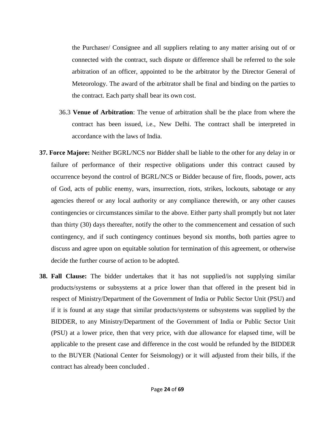the Purchaser/ Consignee and all suppliers relating to any matter arising out of or connected with the contract, such dispute or difference shall be referred to the sole arbitration of an officer, appointed to be the arbitrator by the Director General of Meteorology. The award of the arbitrator shall be final and binding on the parties to the contract. Each party shall bear its own cost.

- 36.3 **Venue of Arbitration**: The venue of arbitration shall be the place from where the contract has been issued, i.e., New Delhi. The contract shall be interpreted in accordance with the laws of India.
- **37. Force Majore:** Neither BGRL/NCS nor Bidder shall be liable to the other for any delay in or failure of performance of their respective obligations under this contract caused by occurrence beyond the control of BGRL/NCS or Bidder because of fire, floods, power, acts of God, acts of public enemy, wars, insurrection, riots, strikes, lockouts, sabotage or any agencies thereof or any local authority or any compliance therewith, or any other causes contingencies or circumstances similar to the above. Either party shall promptly but not later than thirty (30) days thereafter, notify the other to the commencement and cessation of such contingency, and if such contingency continues beyond six months, both parties agree to discuss and agree upon on equitable solution for termination of this agreement, or otherwise decide the further course of action to be adopted.
- **38. Fall Clause:** The bidder undertakes that it has not supplied/is not supplying similar products/systems or subsystems at a price lower than that offered in the present bid in respect of Ministry/Department of the Government of India or Public Sector Unit (PSU) and if it is found at any stage that similar products/systems or subsystems was supplied by the BIDDER, to any Ministry/Department of the Government of India or Public Sector Unit (PSU) at a lower price, then that very price, with due allowance for elapsed time, will be applicable to the present case and difference in the cost would be refunded by the BIDDER to the BUYER (National Center for Seismology) or it will adjusted from their bills, if the contract has already been concluded .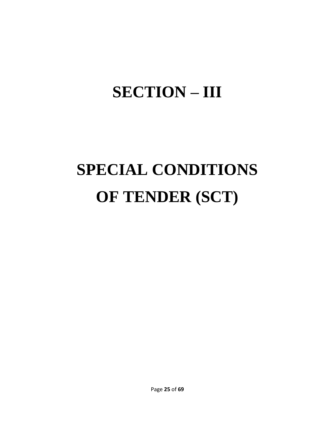## **SECTION – III**

# **SPECIAL CONDITIONS OF TENDER (SCT)**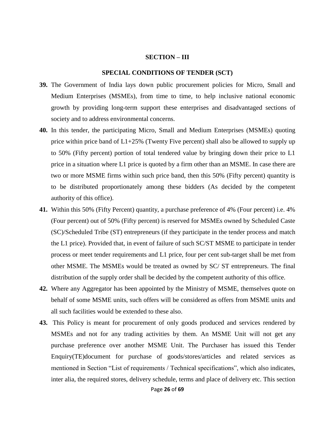#### **SECTION – III**

#### **SPECIAL CONDITIONS OF TENDER (SCT)**

- **39.** The Government of India lays down public procurement policies for Micro, Small and Medium Enterprises (MSMEs), from time to time, to help inclusive national economic growth by providing long-term support these enterprises and disadvantaged sections of society and to address environmental concerns.
- **40.** In this tender, the participating Micro, Small and Medium Enterprises (MSMEs) quoting price within price band of L1+25% (Twenty Five percent) shall also be allowed to supply up to 50% (Fifty percent) portion of total tendered value by bringing down their price to L1 price in a situation where L1 price is quoted by a firm other than an MSME. In case there are two or more MSME firms within such price band, then this 50% (Fifty percent) quantity is to be distributed proportionately among these bidders (As decided by the competent authority of this office).
- **41.** Within this 50% (Fifty Percent) quantity, a purchase preference of 4% (Four percent) i.e. 4% (Four percent) out of 50% (Fifty percent) is reserved for MSMEs owned by Scheduled Caste (SC)/Scheduled Tribe (ST) entrepreneurs (if they participate in the tender process and match the L1 price). Provided that, in event of failure of such SC/ST MSME to participate in tender process or meet tender requirements and L1 price, four per cent sub-target shall be met from other MSME. The MSMEs would be treated as owned by SC/ ST entrepreneurs. The final distribution of the supply order shall be decided by the competent authority of this office.
- **42.** Where any Aggregator has been appointed by the Ministry of MSME, themselves quote on behalf of some MSME units, such offers will be considered as offers from MSME units and all such facilities would be extended to these also.
- **43.** This Policy is meant for procurement of only goods produced and services rendered by MSMEs and not for any trading activities by them. An MSME Unit will not get any purchase preference over another MSME Unit. The Purchaser has issued this Tender Enquiry(TE)document for purchase of goods/stores/articles and related services as mentioned in Section "List of requirements / Technical specifications", which also indicates, inter alia, the required stores, delivery schedule, terms and place of delivery etc. This section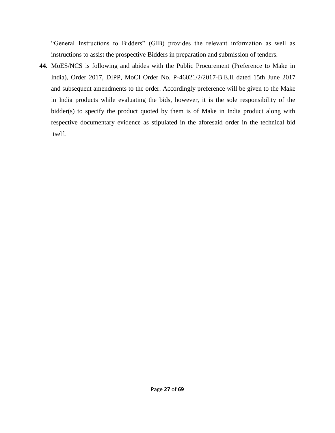"General Instructions to Bidders" (GIB) provides the relevant information as well as instructions to assist the prospective Bidders in preparation and submission of tenders.

**44.** MoES/NCS is following and abides with the Public Procurement (Preference to Make in India), Order 2017, DIPP, MoCI Order No. P-46021/2/2017-B.E.II dated 15th June 2017 and subsequent amendments to the order. Accordingly preference will be given to the Make in India products while evaluating the bids, however, it is the sole responsibility of the bidder(s) to specify the product quoted by them is of Make in India product along with respective documentary evidence as stipulated in the aforesaid order in the technical bid itself.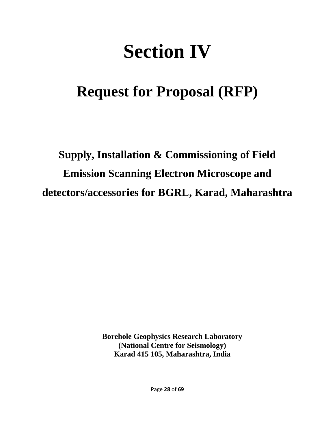## **Section IV**

## **Request for Proposal (RFP)**

## **Supply, Installation & Commissioning of Field Emission Scanning Electron Microscope and detectors/accessories for BGRL, Karad, Maharashtra**

**Borehole Geophysics Research Laboratory (National Centre for Seismology) Karad 415 105, Maharashtra, India**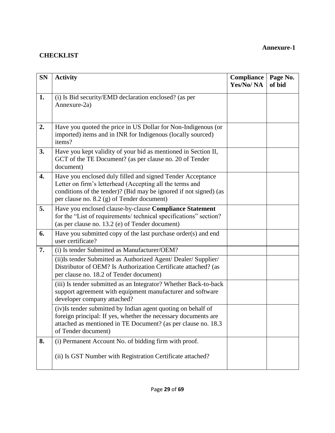#### **CHECKLIST**

| <b>SN</b> | <b>Activity</b>                                                                                                                                                                                                                           | Compliance<br>Yes/No/NA | Page No.<br>of bid |
|-----------|-------------------------------------------------------------------------------------------------------------------------------------------------------------------------------------------------------------------------------------------|-------------------------|--------------------|
| 1.        | (i) Is Bid security/EMD declaration enclosed? (as per<br>Annexure-2a)                                                                                                                                                                     |                         |                    |
| 2.        | Have you quoted the price in US Dollar for Non-Indigenous (or<br>imported) items and in INR for Indigenous (locally sourced)<br>items?                                                                                                    |                         |                    |
| 3.        | Have you kept validity of your bid as mentioned in Section II,<br>GCT of the TE Document? (as per clause no. 20 of Tender<br>document)                                                                                                    |                         |                    |
| 4.        | Have you enclosed duly filled and signed Tender Acceptance<br>Letter on firm's letterhead (Accepting all the terms and<br>conditions of the tender)? (Bid may be ignored if not signed) (as<br>per clause no. 8.2 (g) of Tender document) |                         |                    |
| 5.        | Have you enclosed clause-by-clause Compliance Statement<br>for the "List of requirements/ technical specifications" section?<br>(as per clause no. 13.2 (e) of Tender document)                                                           |                         |                    |
| 6.        | Have you submitted copy of the last purchase order(s) and end<br>user certificate?                                                                                                                                                        |                         |                    |
| 7.        | (i) Is tender Submitted as Manufacturer/OEM?                                                                                                                                                                                              |                         |                    |
|           | (ii) Is tender Submitted as Authorized Agent/ Dealer/ Supplier/<br>Distributor of OEM? Is Authorization Certificate attached? (as<br>per clause no. 18.2 of Tender document)                                                              |                         |                    |
|           | (iii) Is tender submitted as an Integrator? Whether Back-to-back<br>support agreement with equipment manufacturer and software<br>developer company attached?                                                                             |                         |                    |
|           | (iv) Is tender submitted by Indian agent quoting on behalf of<br>foreign principal: If yes, whether the necessary documents are<br>attached as mentioned in TE Document? (as per clause no. 18.3)<br>of Tender document)                  |                         |                    |
| 8.        | (i) Permanent Account No. of bidding firm with proof.<br>(ii) Is GST Number with Registration Certificate attached?                                                                                                                       |                         |                    |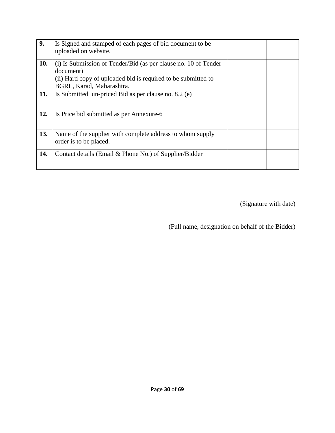| 9.  | Is Signed and stamped of each pages of bid document to be<br>uploaded on website.                                                                                          |  |
|-----|----------------------------------------------------------------------------------------------------------------------------------------------------------------------------|--|
| 10. | (i) Is Submission of Tender/Bid (as per clause no. 10 of Tender<br>document)<br>(ii) Hard copy of uploaded bid is required to be submitted to<br>BGRL, Karad, Maharashtra. |  |
| 11. | Is Submitted un-priced Bid as per clause no. 8.2 (e)                                                                                                                       |  |
| 12. | Is Price bid submitted as per Annexure-6                                                                                                                                   |  |
| 13. | Name of the supplier with complete address to whom supply<br>order is to be placed.                                                                                        |  |
| 14. | Contact details (Email & Phone No.) of Supplier/Bidder                                                                                                                     |  |

(Signature with date)

(Full name, designation on behalf of the Bidder)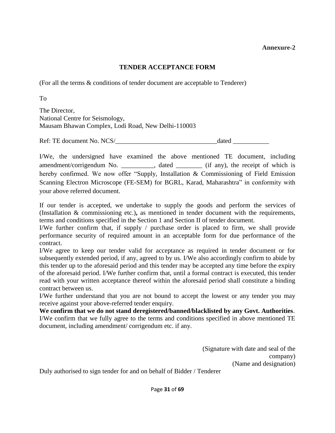#### **TENDER ACCEPTANCE FORM**

(For all the terms & conditions of tender document are acceptable to Tenderer)

To

The Director, National Centre for Seismology, Mausam Bhawan Complex, Lodi Road, New Delhi-110003

Ref: TE document No. NCS/ dated  $\frac{1}{2}$ 

I/We, the undersigned have examined the above mentioned TE document, including amendment/corrigendum No. \_\_\_\_\_\_\_\_\_, dated \_\_\_\_\_\_\_ (if any), the receipt of which is hereby confirmed. We now offer "Supply, Installation & Commissioning of Field Emission Scanning Electron Microscope (FE-SEM) for BGRL, Karad, Maharashtra" in conformity with your above referred document.

If our tender is accepted, we undertake to supply the goods and perform the services of (Installation & commissioning etc.)**,** as mentioned in tender document with the requirements, terms and conditions specified in the Section 1 and Section II of tender document.

I/We further confirm that, if supply / purchase order is placed to firm, we shall provide performance security of required amount in an acceptable form for due performance of the contract.

I/We agree to keep our tender valid for acceptance as required in tender document or for subsequently extended period, if any, agreed to by us. I/We also accordingly confirm to abide by this tender up to the aforesaid period and this tender may be accepted any time before the expiry of the aforesaid period. I/We further confirm that, until a formal contract is executed, this tender read with your written acceptance thereof within the aforesaid period shall constitute a binding contract between us.

I/We further understand that you are not bound to accept the lowest or any tender you may receive against your above-referred tender enquiry.

**We confirm that we do not stand deregistered/banned/blacklisted by any Govt. Authorities**. I/We confirm that we fully agree to the terms and conditions specified in above mentioned TE document, including amendment/ corrigendum etc. if any.

> (Signature with date and seal of the company) (Name and designation)

Duly authorised to sign tender for and on behalf of Bidder / Tenderer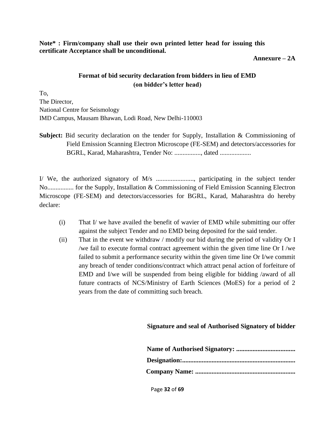**Note\* : Firm/company shall use their own printed letter head for issuing this certificate Acceptance shall be unconditional.** 

**Annexure – 2A**

#### **Format of bid security declaration from bidders in lieu of EMD (on bidder's letter head)**

To, The Director, National Centre for Seismology IMD Campus, Mausam Bhawan, Lodi Road, New Delhi-110003

**Subject:** Bid security declaration on the tender for Supply, Installation & Commissioning of Field Emission Scanning Electron Microscope (FE-SEM) and detectors/accessories for BGRL, Karad, Maharashtra, Tender No: ................, dated ...................

I/ We, the authorized signatory of M/s ......................., participating in the subject tender No................ for the Supply, Installation & Commissioning of Field Emission Scanning Electron Microscope (FE-SEM) and detectors/accessories for BGRL, Karad, Maharashtra do hereby declare:

- (i) That I/ we have availed the benefit of wavier of EMD while submitting our offer against the subject Tender and no EMD being deposited for the said tender.
- (ii) That in the event we withdraw / modify our bid during the period of validity Or I /we fail to execute formal contract agreement within the given time line Or I /we failed to submit a performance security within the given time line Or I/we commit any breach of tender conditions/contract which attract penal action of forfeiture of EMD and I/we will be suspended from being eligible for bidding /award of all future contracts of NCS/Ministry of Earth Sciences (MoES) for a period of 2 years from the date of committing such breach.

**Signature and seal of Authorised Signatory of bidder**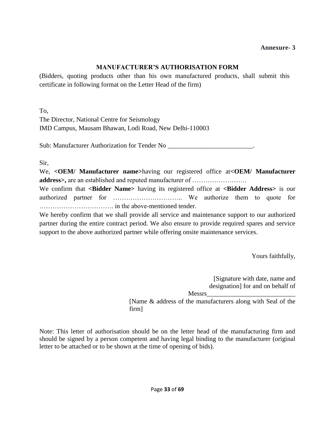#### **MANUFACTURER'S AUTHORISATION FORM**

(Bidders, quoting products other than his own manufactured products, shall submit this certificate in following format on the Letter Head of the firm)

To,

The Director, National Centre for Seismology IMD Campus, Mausam Bhawan, Lodi Road, New Delhi-110003

Sub: Manufacturer Authorization for Tender No \_\_\_\_\_\_\_\_\_\_\_\_\_\_\_\_\_\_\_\_\_\_\_\_\_\_\_\_\_\_\_\_\_.

Sir,

We, **<OEM/ Manufacturer name>**having our registered office at**<OEM/ Manufacturer address>,** are an established and reputed manufacturer of …………………….

We confirm that **<Bidder Name>** having its registered office at **<Bidder Address>** is our authorized partner for ………………………….. We authorize them to quote for ……………………………. in the above-mentioned tender.

We hereby confirm that we shall provide all service and maintenance support to our authorized partner during the entire contract period. We also ensure to provide required spares and service support to the above authorized partner while offering onsite maintenance services.

Yours faithfully,

[Signature with date, name and designation] for and on behalf of Messrs\_\_\_\_\_\_\_\_\_\_\_\_\_\_\_\_\_\_\_\_\_\_\_\_\_\_\_ [Name & address of the manufacturers along with Seal of the firm]

Note: This letter of authorisation should be on the letter head of the manufacturing firm and should be signed by a person competent and having legal binding to the manufacturer (original letter to be attached or to be shown at the time of opening of bids).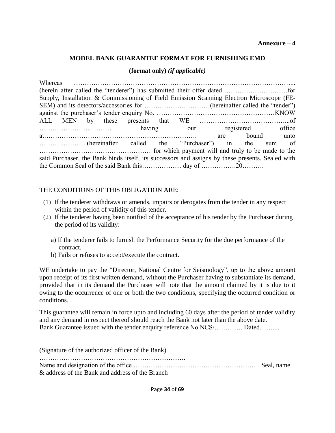#### **MODEL BANK GUARANTEE FORMAT FOR FURNISHING EMD**

#### **(format only)** *(if applicable)*

| Supply, Installation & Commissioning of Field Emission Scanning Electron Microscope (FE-         |  |  |  |  |  |                |  |  |
|--------------------------------------------------------------------------------------------------|--|--|--|--|--|----------------|--|--|
|                                                                                                  |  |  |  |  |  |                |  |  |
|                                                                                                  |  |  |  |  |  |                |  |  |
|                                                                                                  |  |  |  |  |  |                |  |  |
|                                                                                                  |  |  |  |  |  |                |  |  |
|                                                                                                  |  |  |  |  |  | are bound unto |  |  |
|                                                                                                  |  |  |  |  |  |                |  |  |
|                                                                                                  |  |  |  |  |  |                |  |  |
| said Purchaser, the Bank binds itself, its successors and assigns by these presents. Sealed with |  |  |  |  |  |                |  |  |
| the Common Seal of the said Bank thisday of 20                                                   |  |  |  |  |  |                |  |  |

#### THE CONDITIONS OF THIS OBLIGATION ARE:

- (1) If the tenderer withdraws or amends, impairs or derogates from the tender in any respect within the period of validity of this tender.
- (2) If the tenderer having been notified of the acceptance of his tender by the Purchaser during the period of its validity:
	- a) If the tenderer fails to furnish the Performance Security for the due performance of the contract.
	- b) Fails or refuses to accept/execute the contract.

WE undertake to pay the "Director, National Centre for Seismology", up to the above amount upon receipt of its first written demand, without the Purchaser having to substantiate its demand, provided that in its demand the Purchaser will note that the amount claimed by it is due to it owing to the occurrence of one or both the two conditions, specifying the occurred condition or conditions.

This guarantee will remain in force upto and including 60 days after the period of tender validity and any demand in respect thereof should reach the Bank not later than the above date. Bank Guarantee issued with the tender enquiry reference No.NCS/…………. Dated……....

| (Signature of the authorized officer of the Bank) |  |
|---------------------------------------------------|--|
| & address of the Bank and address of the Branch   |  |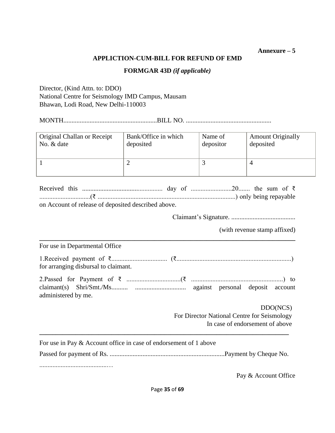#### **Annexure – 5**

#### **APPLICTION-CUM-BILL FOR REFUND OF EMD**

#### **FORMGAR 43D** *(if applicable)*

Director, (Kind Attn. to: DDO) National Centre for Seismology IMD Campus, Mausam Bhawan, Lodi Road, New Delhi-110003

MONTH.........................................................BILL NO. ....................................................

| Original Challan or Receipt | Bank/Office in which | Name of   | <b>Amount Originally</b> |
|-----------------------------|----------------------|-----------|--------------------------|
| No. & date                  | deposited            | depositor | deposited                |
|                             | ∸                    |           |                          |

|  | on Account of release of deposited described above. |  |  |  |  |
|--|-----------------------------------------------------|--|--|--|--|

Claimant's Signature. .......................................

(with revenue stamp affixed)

For use in Departmental Office

| for arranging disbursal to claimant. |  |
|--------------------------------------|--|

**\_\_\_\_\_\_\_\_\_\_\_\_\_\_\_\_\_\_\_\_\_\_\_\_\_\_\_\_\_\_\_\_\_\_\_\_\_\_\_\_\_\_\_\_\_\_\_\_\_\_\_\_\_\_\_\_\_\_\_\_\_\_\_\_\_\_\_\_\_\_\_\_\_\_\_\_\_\_**

| administered by me. |  |  |  |  |  |  |  |
|---------------------|--|--|--|--|--|--|--|

DDO(NCS) For Director National Centre for Seismology In case of endorsement of above

For use in Pay & Account office in case of endorsement of 1 above Passed for payment of Rs. ......................................................................Payment by Cheque No.

**\_\_\_\_\_\_\_\_\_\_\_\_\_\_\_\_\_\_\_\_\_\_\_\_\_\_\_\_\_\_\_\_\_\_\_\_\_\_\_\_\_\_\_\_\_\_\_\_\_\_\_\_\_\_\_\_\_\_\_\_\_\_\_\_\_\_\_\_\_\_\_\_\_\_\_\_**

.........................................…

Pay & Account Office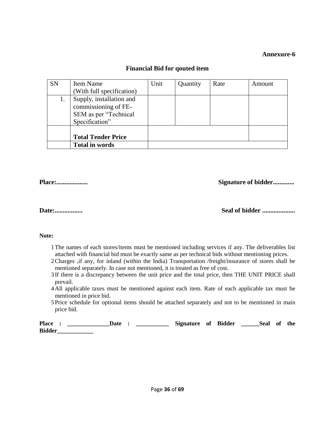| <b>SN</b> | <b>Item Name</b>                                                                            | Unit | Quantity | Rate | Amount |
|-----------|---------------------------------------------------------------------------------------------|------|----------|------|--------|
|           | (With full specification)                                                                   |      |          |      |        |
| 1.        | Supply, installation and<br>commissioning of FE-<br>SEM as per "Technical<br>Specification" |      |          |      |        |
|           | <b>Total Tender Price</b>                                                                   |      |          |      |        |
|           | <b>Total in words</b>                                                                       |      |          |      |        |

#### **Financial Bid for qouted item**

**Place:................... Signature of bidder.............**

**Date:................. Seal of bidder ....................**

#### **Note:**

- 1The names of each stores/items must be mentioned including services if any. The deliverables list attached with financial bid must be exactly same as per technical bids without mentioning prices.
- 2Charges ,if any, for inland (within the India) Transportation /freight/insurance of stores shall be mentioned separately. In case not mentioned, it is treated as free of cost.
- 3 If there is a discrepancy between the unit price and the total price, then THE UNIT PRICE shall prevail.
- 4All applicable taxes must be mentioned against each item. Rate of each applicable tax must be mentioned in price bid.
- 5Price schedule for optional items should be attached separately and not to be mentioned in main price bid.

| <b>Place</b>  | Date |  | Signature of Bidder |  | Seal of the |  |
|---------------|------|--|---------------------|--|-------------|--|
| <b>Bidder</b> |      |  |                     |  |             |  |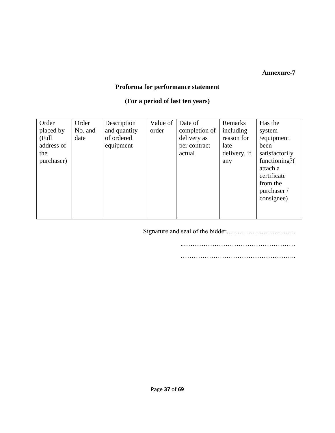#### **Proforma for performance statement**

#### **(For a period of last ten years)**

| Order      | Order   | Description  | Value of | Date of       | Remarks      | Has the        |
|------------|---------|--------------|----------|---------------|--------------|----------------|
| placed by  | No. and | and quantity | order    | completion of | including    | system         |
| (Full      | date    | of ordered   |          | delivery as   | reason for   | /equipment     |
| address of |         | equipment    |          | per contract  | late         | been           |
| the        |         |              |          | actual        | delivery, if | satisfactorily |
| purchaser) |         |              |          |               | any          | functioning?(  |
|            |         |              |          |               |              | attach a       |
|            |         |              |          |               |              | certificate    |
|            |         |              |          |               |              | from the       |
|            |         |              |          |               |              | purchaser /    |
|            |         |              |          |               |              | consignee)     |
|            |         |              |          |               |              |                |
|            |         |              |          |               |              |                |

Signature and seal of the bidder…………………………..

..……………………………………………

……………………………………………..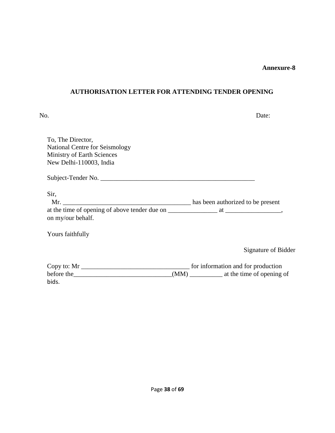#### **AUTHORISATION LETTER FOR ATTENDING TENDER OPENING**

| No.                                                                                                                 | Date:                                         |
|---------------------------------------------------------------------------------------------------------------------|-----------------------------------------------|
| To, The Director,<br>National Centre for Seismology<br><b>Ministry of Earth Sciences</b><br>New Delhi-110003, India |                                               |
|                                                                                                                     |                                               |
| Sir,                                                                                                                |                                               |
| on my/our behalf.                                                                                                   |                                               |
| Yours faithfully                                                                                                    |                                               |
|                                                                                                                     | Signature of Bidder                           |
|                                                                                                                     |                                               |
| before the <u>contained</u>                                                                                         | (MM) ______________ at the time of opening of |

bids.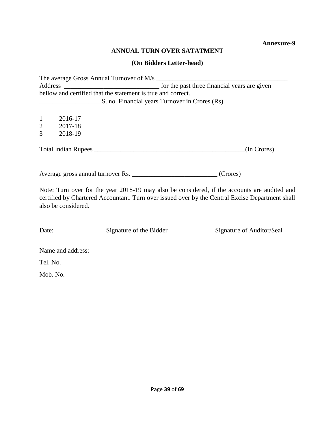#### **ANNUAL TURN OVER SATATMENT**

#### **(On Bidders Letter-head)**

The average Gross Annual Turnover of M/s \_\_\_\_\_\_\_\_\_\_\_\_\_\_\_\_\_\_\_\_\_\_\_\_\_\_\_\_\_\_\_\_\_\_\_\_\_\_\_\_ Address \_\_\_\_\_\_\_\_\_\_\_\_\_\_\_\_\_\_\_\_\_\_\_\_\_\_\_\_\_ for the past three financial years are given bellow and certified that the statement is true and correct. **Example 25.** no. Financial years Turnover in Crores (Rs)

1 2016-17 2 2017-18

3 2018-19

Total Indian Rupees \_\_\_\_\_\_\_\_\_\_\_\_\_\_\_\_\_\_\_\_\_\_\_\_\_\_\_\_\_\_\_\_\_\_\_\_\_\_\_\_\_\_\_\_\_\_(In Crores)

Average gross annual turnover Rs. \_\_\_\_\_\_\_\_\_\_\_\_\_\_\_\_\_\_\_\_\_\_\_\_\_\_\_\_\_\_ (Crores)

Note: Turn over for the year 2018-19 may also be considered, if the accounts are audited and certified by Chartered Accountant. Turn over issued over by the Central Excise Department shall also be considered.

Date: Signature of the Bidder Signature of Auditor/Seal

Name and address:

Tel. No.

Mob. No.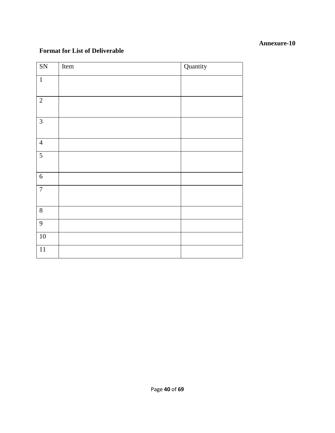#### **Format for List of Deliverable**

| $\overline{\text{SN}}$ | Item | Quantity |
|------------------------|------|----------|
| $\mathbf 1$            |      |          |
| $\overline{2}$         |      |          |
| $\overline{3}$         |      |          |
| $\overline{4}$         |      |          |
| $\overline{5}$         |      |          |
| $\sqrt{6}$             |      |          |
| $\boldsymbol{7}$       |      |          |
| $8\,$                  |      |          |
| $\overline{9}$         |      |          |
| $\overline{10}$        |      |          |
| $\overline{11}$        |      |          |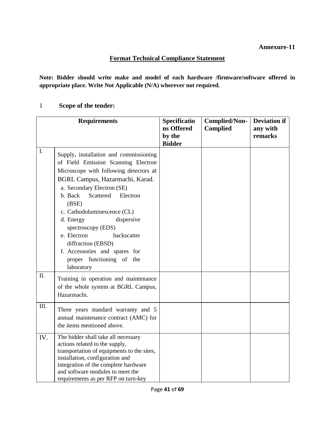#### **Format Technical Compliance Statement**

**Note: Bidder should write make and model of each hardware /firmware/software offered in appropriate place. Write Not Applicable (N/A) wherever not required.**

1 **Scope of the tender:** 

|         | <b>Requirements</b>                                                                                                                                                                                                                                                                                                                                                                                                                                   | Specificatio<br>ns Offered<br>by the<br><b>Bidder</b> | <b>Complied/Non-</b><br><b>Complied</b> | <b>Deviation if</b><br>any with<br>remarks |
|---------|-------------------------------------------------------------------------------------------------------------------------------------------------------------------------------------------------------------------------------------------------------------------------------------------------------------------------------------------------------------------------------------------------------------------------------------------------------|-------------------------------------------------------|-----------------------------------------|--------------------------------------------|
| L.      | Supply, installation and commissioning<br>of Field Emission Scanning Electron<br>Microscope with following detectors at<br>BGRL Campus, Hazarmachi, Karad.<br>a. Secondary Electron (SE)<br>Scattered<br>b. Back<br>Electron<br>(BSE)<br>c. Cathodoluminescence (CL)<br>d. Energy<br>dispersive<br>spectroscopy (EDS)<br>e. Electron<br>backscatter<br>diffraction (EBSD)<br>f. Accessories and spares for<br>proper functioning of the<br>laboratory |                                                       |                                         |                                            |
| $\Pi$ . | Training in operation and maintenance<br>of the whole system at BGRL Campus,<br>Hazarmachi.                                                                                                                                                                                                                                                                                                                                                           |                                                       |                                         |                                            |
| III.    | Three years standard warranty and 5<br>annual maintenance contract (AMC) for<br>the items mentioned above.                                                                                                                                                                                                                                                                                                                                            |                                                       |                                         |                                            |
| IV.     | The bidder shall take all necessary<br>actions related to the supply,<br>transportation of equipments to the sites,<br>installation, configuration and<br>integration of the complete hardware<br>and software modules to meet the<br>requirements as per RFP on turn-key                                                                                                                                                                             |                                                       |                                         |                                            |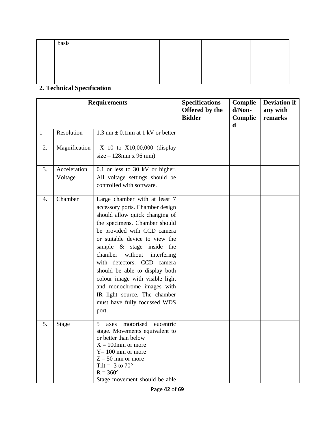| basis |  |  |
|-------|--|--|
|       |  |  |
|       |  |  |
|       |  |  |
|       |  |  |

#### **2. Technical Specification**

|              |                         | <b>Requirements</b>                                                                                                                                                                                                                                                                                                                                                                                                                                                              | <b>Specifications</b><br>Offered by the<br><b>Bidder</b> | Complie<br>d/Non-<br>Complie<br>d | <b>Deviation if</b><br>any with<br>remarks |
|--------------|-------------------------|----------------------------------------------------------------------------------------------------------------------------------------------------------------------------------------------------------------------------------------------------------------------------------------------------------------------------------------------------------------------------------------------------------------------------------------------------------------------------------|----------------------------------------------------------|-----------------------------------|--------------------------------------------|
| $\mathbf{1}$ | Resolution              | 1.3 nm $\pm$ 0.1 nm at 1 kV or better                                                                                                                                                                                                                                                                                                                                                                                                                                            |                                                          |                                   |                                            |
| 2.           | Magnification           | X 10 to X10,00,000 (display<br>$size - 128mm \times 96mm$                                                                                                                                                                                                                                                                                                                                                                                                                        |                                                          |                                   |                                            |
| 3.           | Acceleration<br>Voltage | 0.1 or less to 30 kV or higher.<br>All voltage settings should be<br>controlled with software.                                                                                                                                                                                                                                                                                                                                                                                   |                                                          |                                   |                                            |
| 4.           | Chamber                 | Large chamber with at least 7<br>accessory ports. Chamber design<br>should allow quick changing of<br>the specimens. Chamber should<br>be provided with CCD camera<br>or suitable device to view the<br>sample & stage inside the<br>chamber<br>without<br>interfering<br>with detectors. CCD camera<br>should be able to display both<br>colour image with visible light<br>and monochrome images with<br>IR light source. The chamber<br>must have fully focussed WDS<br>port. |                                                          |                                   |                                            |
| 5.           | Stage                   | motorised<br>5<br>eucentric<br>axes<br>stage. Movements equivalent to<br>or better than below<br>$X = 100$ mm or more<br>$Y = 100$ mm or more<br>$Z = 50$ mm or more<br>Tilt = $-3$ to $70^\circ$<br>$R = 360^\circ$<br>Stage movement should be able                                                                                                                                                                                                                            |                                                          |                                   |                                            |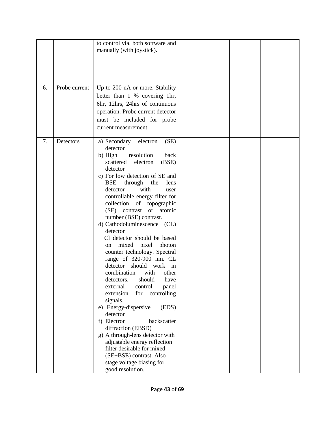|    |               | to control via. both software and<br>manually (with joystick).                                                                                                                                                                                                                                                                                                                                                                                                                                                                                                                                                                                                                                                                                                                                                                                                                                                                                                                    |  |  |
|----|---------------|-----------------------------------------------------------------------------------------------------------------------------------------------------------------------------------------------------------------------------------------------------------------------------------------------------------------------------------------------------------------------------------------------------------------------------------------------------------------------------------------------------------------------------------------------------------------------------------------------------------------------------------------------------------------------------------------------------------------------------------------------------------------------------------------------------------------------------------------------------------------------------------------------------------------------------------------------------------------------------------|--|--|
| 6. | Probe current | Up to 200 nA or more. Stability<br>better than 1 % covering 1hr,<br>6hr, 12hrs, 24hrs of continuous<br>operation. Probe current detector<br>must be included for probe<br>current measurement.                                                                                                                                                                                                                                                                                                                                                                                                                                                                                                                                                                                                                                                                                                                                                                                    |  |  |
| 7. | Detectors     | (SE)<br>a) Secondary<br>electron<br>detector<br>b) High<br>resolution<br>back<br>(BSE)<br>electron<br>scattered<br>detector<br>c) For low detection of SE and<br><b>BSE</b><br>through<br>the<br>lens<br>with<br>detector<br>user<br>controllable energy filter for<br>collection of topographic<br>(SE) contrast<br>or atomic<br>number (BSE) contrast.<br>d) Cathodoluminescence (CL)<br>detector<br>Cl detector should be based<br>mixed pixel photon<br>on<br>counter technology. Spectral<br>range of 320-900 nm. CL<br>detector should work in<br>combination<br>with<br>other<br>should<br>have<br>detectors,<br>external<br>control<br>panel<br>controlling<br>extension<br>for<br>signals.<br>e) Energy-dispersive<br>(EDS)<br>detector<br>f) Electron<br>backscatter<br>diffraction (EBSD)<br>g) A through-lens detector with<br>adjustable energy reflection<br>filter desirable for mixed<br>(SE+BSE) contrast. Also<br>stage voltage biasing for<br>good resolution. |  |  |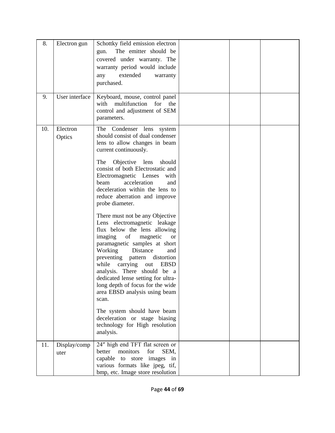| 8.  | Electron gun         | Schottky field emission electron<br>The emitter should be<br>gun.<br>covered under warranty. The<br>warranty period would include<br>extended<br>warranty<br>any<br>purchased.                                                                                                                                                                                                                                                                                                                                                                                                                                                            |  |  |
|-----|----------------------|-------------------------------------------------------------------------------------------------------------------------------------------------------------------------------------------------------------------------------------------------------------------------------------------------------------------------------------------------------------------------------------------------------------------------------------------------------------------------------------------------------------------------------------------------------------------------------------------------------------------------------------------|--|--|
| 9.  | User interface       | Keyboard, mouse, control panel<br>multifunction<br>with<br>for<br>the<br>control and adjustment of SEM<br>parameters.                                                                                                                                                                                                                                                                                                                                                                                                                                                                                                                     |  |  |
| 10. | Electron<br>Optics   | The Condenser lens system<br>should consist of dual condenser<br>lens to allow changes in beam<br>current continuously.<br>Objective lens<br>should<br>The<br>consist of both Electrostatic and<br>Electromagnetic Lenses<br>with<br>acceleration<br>beam<br>and<br>deceleration within the lens to<br>reduce aberration and improve<br>probe diameter.<br>There must not be any Objective<br>Lens electromagnetic leakage<br>flux below the lens allowing<br>imaging<br>magnetic<br>of<br><b>or</b><br>paramagnetic samples at short<br>Working Distance<br>and<br>preventing pattern distortion<br>while carrying<br>out<br><b>EBSD</b> |  |  |
|     |                      | analysis. There should be a<br>dedicated lense setting for ultra-<br>long depth of focus for the wide<br>area EBSD analysis using beam<br>scan.<br>The system should have beam<br>deceleration or stage biasing<br>technology for High resolution<br>analysis.                                                                                                                                                                                                                                                                                                                                                                            |  |  |
| 11. | Display/comp<br>uter | 24" high end TFT flat screen or<br>better<br>monitors<br>for<br>SEM,<br>capable to store<br>images<br>in<br>various formats like jpeg, tif,<br>bmp, etc. Image store resolution                                                                                                                                                                                                                                                                                                                                                                                                                                                           |  |  |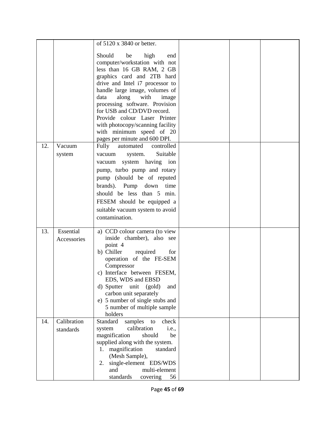|     |                          | of 5120 x 3840 or better.<br>Should<br>be<br>high<br>end<br>computer/workstation with not<br>less than 16 GB RAM, 2 GB<br>graphics card and 2TB hard<br>drive and Intel i7 processor to<br>handle large image, volumes of<br>with<br>data<br>along<br>image<br>processing software. Provision<br>for USB and CD/DVD record.                       |  |  |
|-----|--------------------------|---------------------------------------------------------------------------------------------------------------------------------------------------------------------------------------------------------------------------------------------------------------------------------------------------------------------------------------------------|--|--|
|     |                          | Provide colour Laser Printer<br>with photocopy/scanning facility<br>with minimum speed of 20<br>pages per minute and 600 DPI.                                                                                                                                                                                                                     |  |  |
| 12. | Vacuum<br>system         | Fully<br>controlled<br>automated<br>Suitable<br>vacuum<br>system.<br>vacuum system having ion<br>pump, turbo pump and rotary<br>pump (should be of reputed<br>brands). Pump down<br>time<br>should be less than 5<br>min.<br>FESEM should be equipped a<br>suitable vacuum system to avoid<br>contamination.                                      |  |  |
| 13. | Essential<br>Accessories | a) CCD colour camera (to view<br>inside chamber), also see<br>point 4<br>b) Chiller<br>required<br>for<br>operation of the FE-SEM<br>Compressor<br>c) Interface between FESEM,<br>EDS, WDS and EBSD<br>d) Sputter<br>unit<br>(gold)<br>and<br>carbon unit separately<br>e) 5 number of single stubs and<br>5 number of multiple sample<br>holders |  |  |
| 14. | Calibration<br>standards | Standard<br>samples<br>check<br>to<br>calibration<br>system<br><i>i.e.</i> ,<br>magnification<br>should<br>be<br>supplied along with the system.<br>magnification<br>standard<br>1.<br>(Mesh Sample),<br>single-element EDS/WDS<br>2.<br>multi-element<br>and<br>standards<br>covering<br>56                                                      |  |  |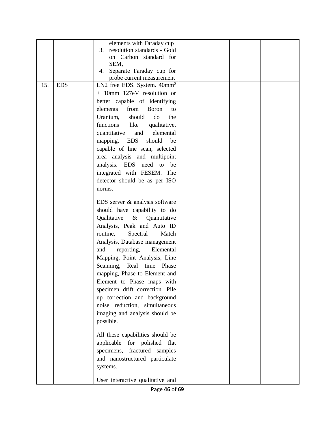|     |            | elements with Faraday cup                                   |  |  |
|-----|------------|-------------------------------------------------------------|--|--|
|     |            | resolution standards - Gold<br>3.                           |  |  |
|     |            | on Carbon standard for                                      |  |  |
|     |            | SEM,                                                        |  |  |
|     |            | Separate Faraday cup for<br>4.<br>probe current measurement |  |  |
| 15. | <b>EDS</b> | LN2 free EDS. System. $40mm^2$                              |  |  |
|     |            | $\pm$ 10mm 127eV resolution or                              |  |  |
|     |            |                                                             |  |  |
|     |            | better capable of identifying<br>Boron                      |  |  |
|     |            | elements<br>from<br>to                                      |  |  |
|     |            | Uranium,<br>should<br>do<br>the                             |  |  |
|     |            | functions<br>like<br>qualitative,                           |  |  |
|     |            | elemental<br>quantitative<br>and                            |  |  |
|     |            | should<br>mapping. EDS<br>be                                |  |  |
|     |            | capable of line scan, selected                              |  |  |
|     |            | area analysis and multipoint                                |  |  |
|     |            | analysis. EDS need to be                                    |  |  |
|     |            | integrated with FESEM. The                                  |  |  |
|     |            | detector should be as per ISO                               |  |  |
|     |            | norms.                                                      |  |  |
|     |            | EDS server & analysis software                              |  |  |
|     |            | should have capability to do                                |  |  |
|     |            | Qualitative & Quantitative                                  |  |  |
|     |            | Analysis, Peak and Auto ID                                  |  |  |
|     |            | Spectral<br>routine,<br>Match                               |  |  |
|     |            |                                                             |  |  |
|     |            | Analysis, Database management                               |  |  |
|     |            | reporting,<br>Elemental<br>and                              |  |  |
|     |            | Mapping, Point Analysis, Line                               |  |  |
|     |            | Scanning, Real time Phase                                   |  |  |
|     |            | mapping, Phase to Element and                               |  |  |
|     |            | Element to Phase maps with                                  |  |  |
|     |            | specimen drift correction. Pile                             |  |  |
|     |            | up correction and background                                |  |  |
|     |            | noise reduction, simultaneous                               |  |  |
|     |            | imaging and analysis should be                              |  |  |
|     |            | possible.                                                   |  |  |
|     |            | All these capabilities should be                            |  |  |
|     |            | applicable for polished flat                                |  |  |
|     |            | specimens, fractured samples                                |  |  |
|     |            | and nanostructured particulate                              |  |  |
|     |            |                                                             |  |  |
|     |            | systems.                                                    |  |  |
|     |            | User interactive qualitative and                            |  |  |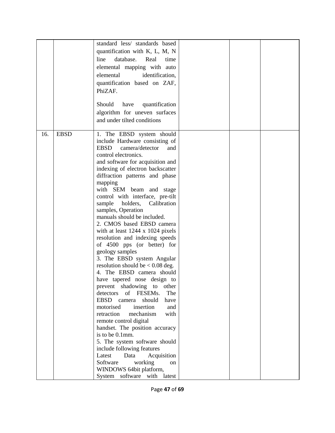|     |             | standard less/ standards based          |  |  |
|-----|-------------|-----------------------------------------|--|--|
|     |             | quantification with K, L, M, N          |  |  |
|     |             | line<br>database.<br>Real<br>time       |  |  |
|     |             | elemental mapping with auto             |  |  |
|     |             | elemental<br>identification,            |  |  |
|     |             | quantification based on ZAF,            |  |  |
|     |             | PhiZAF.                                 |  |  |
|     |             |                                         |  |  |
|     |             | Should<br>quantification<br>have        |  |  |
|     |             |                                         |  |  |
|     |             | algorithm for uneven surfaces           |  |  |
|     |             | and under tilted conditions             |  |  |
| 16. | <b>EBSD</b> | 1. The EBSD system should               |  |  |
|     |             | include Hardware consisting of          |  |  |
|     |             | <b>EBSD</b><br>camera/detector<br>and   |  |  |
|     |             | control electronics.                    |  |  |
|     |             | and software for acquisition and        |  |  |
|     |             | indexing of electron backscatter        |  |  |
|     |             | diffraction patterns and phase          |  |  |
|     |             | mapping                                 |  |  |
|     |             | with SEM beam and stage                 |  |  |
|     |             | control with interface, pre-tilt        |  |  |
|     |             | holders,<br>sample<br>Calibration       |  |  |
|     |             | samples, Operation                      |  |  |
|     |             | manuals should be included.             |  |  |
|     |             | 2. CMOS based EBSD camera               |  |  |
|     |             | with at least $1244 \times 1024$ pixels |  |  |
|     |             | resolution and indexing speeds          |  |  |
|     |             | of 4500 pps (or better) for             |  |  |
|     |             | geology samples                         |  |  |
|     |             | 3. The EBSD system Angular              |  |  |
|     |             | resolution should be $< 0.08$ deg.      |  |  |
|     |             | 4. The EBSD camera should               |  |  |
|     |             | have tapered nose design to             |  |  |
|     |             | prevent shadowing to<br>other           |  |  |
|     |             | of FESEMs.<br>detectors<br>The          |  |  |
|     |             | EBSD camera<br>should<br>have           |  |  |
|     |             | insertion<br>motorised<br>and           |  |  |
|     |             | mechanism<br>with<br>retraction         |  |  |
|     |             | remote control digital                  |  |  |
|     |             | handset. The position accuracy          |  |  |
|     |             | is to be 0.1mm.                         |  |  |
|     |             | 5. The system software should           |  |  |
|     |             | include following features              |  |  |
|     |             | Latest<br>Acquisition<br>Data           |  |  |
|     |             | Software<br>working<br>on               |  |  |
|     |             | WINDOWS 64bit platform,                 |  |  |
|     |             | System software with latest             |  |  |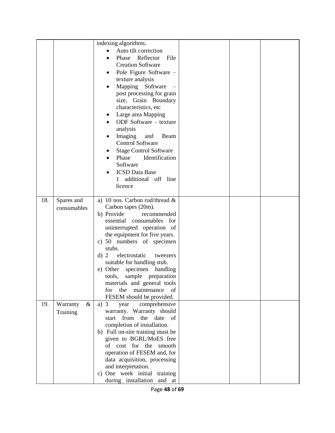|     |                              | indexing algorithms.<br>Auto tilt correction<br>$\bullet$<br>Phase Reflector<br>File<br><b>Creation Software</b><br>Pole Figure Software -<br>٠<br>texture analysis<br>Mapping Software<br>post processing for grain<br>size, Grain Boundary<br>characteristics, etc<br>Large area Mapping<br>ODF Software - texture<br>analysis<br>Imaging<br>and<br>Beam<br><b>Control Software</b><br><b>Stage Control Software</b><br>Identification<br>Phase<br>Software<br><b>ICSD</b> Data Base<br>1 additional off line<br>licence |  |  |
|-----|------------------------------|----------------------------------------------------------------------------------------------------------------------------------------------------------------------------------------------------------------------------------------------------------------------------------------------------------------------------------------------------------------------------------------------------------------------------------------------------------------------------------------------------------------------------|--|--|
| 18. | Spares and<br>consumables    | a) 10 nos. Carbon rod/thread &<br>Carbon tapes (20m).<br>b) Provide<br>recommended<br>essential consumables for<br>uninterrupted operation of<br>the equipment for five years.<br>c) 50 numbers of specimen<br>stubs.<br>electrostatic<br>d) 2<br>tweezers<br>suitable for handling stub.<br>e) Other specimen handling<br>sample preparation<br>tools,<br>materials and general tools<br>for the<br>maintenance of<br>FESEM should be provided.                                                                           |  |  |
| 19. | Warranty<br>$\&$<br>Training | comprehensive<br>a) $3$<br>year<br>warranty. Warranty should<br>from<br>the date<br>of<br>start<br>completion of installation.<br>b) Full on-site training must be<br>given to BGRL/MoES free<br>of cost for the smooth<br>operation of FESEM and, for<br>data acquisition, processing<br>and interpretation.<br>c) One week initial training<br>during installation and at                                                                                                                                                |  |  |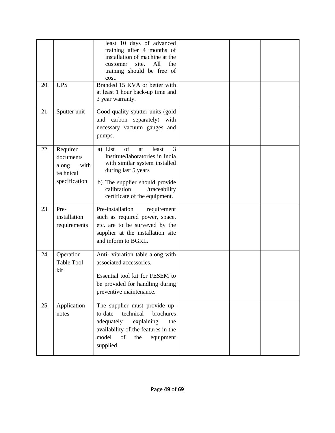| 20. | <b>UPS</b>                                                           | least 10 days of advanced<br>training after 4 months of<br>installation of machine at the<br>site.<br>All<br>the<br>customer<br>training should be free of<br>cost.<br>Branded 15 KVA or better with<br>at least 1 hour back-up time and<br>3 year warranty. |  |  |
|-----|----------------------------------------------------------------------|--------------------------------------------------------------------------------------------------------------------------------------------------------------------------------------------------------------------------------------------------------------|--|--|
| 21. | Sputter unit                                                         | Good quality sputter units (gold<br>and carbon separately) with<br>necessary vacuum gauges and<br>pumps.                                                                                                                                                     |  |  |
| 22. | Required<br>documents<br>along<br>with<br>technical<br>specification | of<br>3<br>a) List<br>least<br>at<br>Institute/laboratories in India<br>with similar system installed<br>during last 5 years<br>b) The supplier should provide<br>calibration<br>/traceability<br>certificate of the equipment.                              |  |  |
| 23. | Pre-<br>installation<br>requirements                                 | Pre-installation<br>requirement<br>such as required power, space,<br>etc. are to be surveyed by the<br>supplier at the installation site<br>and inform to BGRL.                                                                                              |  |  |
| 24. | Operation<br><b>Table Tool</b><br>kit                                | Anti-vibration table along with<br>associated accessories.<br>Essential tool kit for FESEM to<br>be provided for handling during<br>preventive maintenance.                                                                                                  |  |  |
| 25. | Application<br>notes                                                 | The supplier must provide up-<br>to-date<br>technical<br>brochures<br>adequately<br>explaining<br>the<br>availability of the features in the<br>model<br>of<br>equipment<br>the<br>supplied.                                                                 |  |  |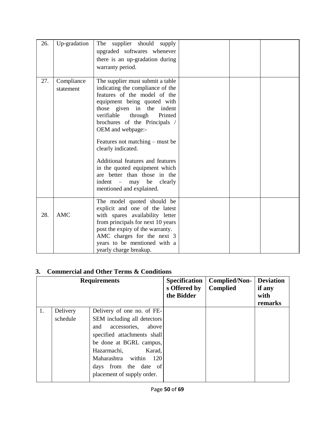| 26. | Up-gradation            | supplier should<br>The<br>supply<br>upgraded softwares whenever<br>there is an up-gradation during<br>warranty period.                                                                                                                                                                                                                                                                                                                                                                     |  |  |
|-----|-------------------------|--------------------------------------------------------------------------------------------------------------------------------------------------------------------------------------------------------------------------------------------------------------------------------------------------------------------------------------------------------------------------------------------------------------------------------------------------------------------------------------------|--|--|
| 27. | Compliance<br>statement | The supplier must submit a table<br>indicating the compliance of the<br>features of the model of the<br>equipment being quoted with<br>those given in the indent<br>verifiable through<br>Printed<br>brochures of the Principals /<br>OEM and webpage:-<br>Features not matching $-$ must be<br>clearly indicated.<br>Additional features and features<br>in the quoted equipment which<br>are better than those in the<br>$\text{indent}$ – may be<br>clearly<br>mentioned and explained. |  |  |
| 28. | <b>AMC</b>              | The model quoted should be<br>explicit and one of the latest<br>with spares availability letter<br>from principals for next 10 years<br>post the expiry of the warranty.<br>AMC charges for the next 3<br>years to be mentioned with a<br>yearly charge breakup.                                                                                                                                                                                                                           |  |  |

#### **3. Commercial and Other Terms & Conditions**

|          |                              | <b>Specification</b><br>s Offered by<br>the Bidder | <b>Complied/Non-</b><br><b>Complied</b>                                                         | <b>Deviation</b><br>if any<br>with<br>remarks |
|----------|------------------------------|----------------------------------------------------|-------------------------------------------------------------------------------------------------|-----------------------------------------------|
| Delivery | Delivery of one no. of FE-   |                                                    |                                                                                                 |                                               |
| schedule |                              |                                                    |                                                                                                 |                                               |
|          | accessories,<br>above<br>and |                                                    |                                                                                                 |                                               |
|          |                              |                                                    |                                                                                                 |                                               |
|          |                              |                                                    |                                                                                                 |                                               |
|          | Hazarmachi,                  |                                                    |                                                                                                 |                                               |
|          | Maharashtra within<br>120    |                                                    |                                                                                                 |                                               |
|          | days from the date of        |                                                    |                                                                                                 |                                               |
|          | placement of supply order.   |                                                    |                                                                                                 |                                               |
|          |                              | <b>Requirements</b>                                | SEM including all detectors<br>specified attachments shall<br>be done at BGRL campus,<br>Karad, |                                               |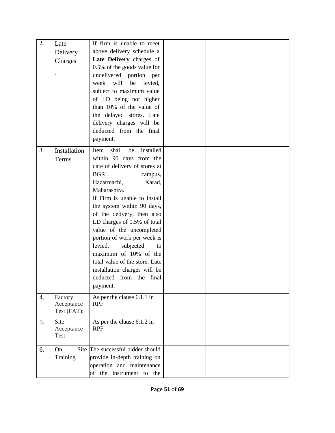| 2.               | Late<br>Delivery<br>Charges          | If firm is unable to meet<br>above delivery schedule a<br>Late Delivery charges of<br>0.5% of the goods value for<br>undelivered portion per<br>will<br>week<br>be<br>levied,<br>subject to maximum value<br>of LD being not higher                                                                                                                                                                                                                                                                                   |  |  |
|------------------|--------------------------------------|-----------------------------------------------------------------------------------------------------------------------------------------------------------------------------------------------------------------------------------------------------------------------------------------------------------------------------------------------------------------------------------------------------------------------------------------------------------------------------------------------------------------------|--|--|
|                  |                                      | than 10% of the value of<br>the delayed stores. Late<br>delivery charges will be<br>deducted from the final<br>payment.                                                                                                                                                                                                                                                                                                                                                                                               |  |  |
| 3.               | Installation<br>Terms                | shall<br>installed<br>be<br>Item<br>within 90 days from the<br>date of delivery of stores at<br><b>BGRL</b><br>campus,<br>Hazarmachi,<br>Karad,<br>Maharashtra.<br>If Firm is unable to install<br>the system within 90 days,<br>of the delivery, then also<br>LD charges of 0.5% of total<br>value of the uncompleted<br>portion of work per week is<br>levied,<br>subjected<br>to<br>maximum of 10% of the<br>total value of the store. Late<br>installation charges will be<br>deducted from the final<br>payment. |  |  |
| $\overline{4}$ . | Factory<br>Acceptance<br>Test (FAT): | As per the clause 6.1.1 in<br><b>RPF</b>                                                                                                                                                                                                                                                                                                                                                                                                                                                                              |  |  |
| 5.               | Site<br>Acceptance<br>Test           | As per the clause 6.1.2 in<br><b>RPF</b>                                                                                                                                                                                                                                                                                                                                                                                                                                                                              |  |  |
| 6.               | On<br>Training                       | Site The successful bidder should<br>provide in-depth training on<br>operation and maintenance<br>of the instrument to the                                                                                                                                                                                                                                                                                                                                                                                            |  |  |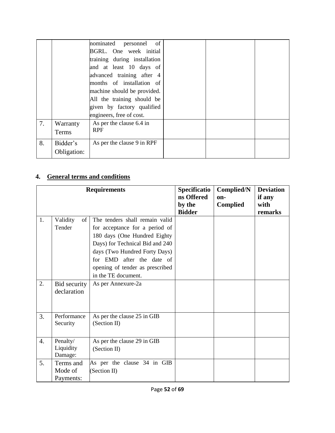|    |                         | of<br>nominated personnel<br>BGRL. One week initial<br>training during installation                                                            |  |  |
|----|-------------------------|------------------------------------------------------------------------------------------------------------------------------------------------|--|--|
|    |                         | and at least 10 days of<br>advanced training after 4<br>months of installation of<br>machine should be provided.<br>All the training should be |  |  |
|    |                         | given by factory qualified<br>engineers, free of cost.                                                                                         |  |  |
| 7. | Warranty<br>Terms       | As per the clause 6.4 in<br><b>RPF</b>                                                                                                         |  |  |
| 8. | Bidder's<br>Obligation: | As per the clause 9 in RPF                                                                                                                     |  |  |

#### **4. General terms and conditions**

|    |                                   | <b>Requirements</b>                                                                                                                                                                                                                                         | Specificatio<br>ns Offered<br>by the<br><b>Bidder</b> | Complied/N<br>on-<br><b>Complied</b> | <b>Deviation</b><br>if any<br>with<br>remarks |
|----|-----------------------------------|-------------------------------------------------------------------------------------------------------------------------------------------------------------------------------------------------------------------------------------------------------------|-------------------------------------------------------|--------------------------------------|-----------------------------------------------|
| 1. | Validity<br>of<br>Tender          | The tenders shall remain valid<br>for acceptance for a period of<br>180 days (One Hundred Eighty<br>Days) for Technical Bid and 240<br>days (Two Hundred Forty Days)<br>for EMD after the date of<br>opening of tender as prescribed<br>in the TE document. |                                                       |                                      |                                               |
| 2. | Bid security<br>declaration       | As per Annexure-2a                                                                                                                                                                                                                                          |                                                       |                                      |                                               |
| 3. | Performance<br>Security           | As per the clause 25 in GIB<br>(Section II)                                                                                                                                                                                                                 |                                                       |                                      |                                               |
| 4. | Penalty/<br>Liquidity<br>Damage:  | As per the clause 29 in GIB<br>(Section II)                                                                                                                                                                                                                 |                                                       |                                      |                                               |
| 5. | Terms and<br>Mode of<br>Payments: | As per the clause 34 in GIB<br>(Section II)                                                                                                                                                                                                                 |                                                       |                                      |                                               |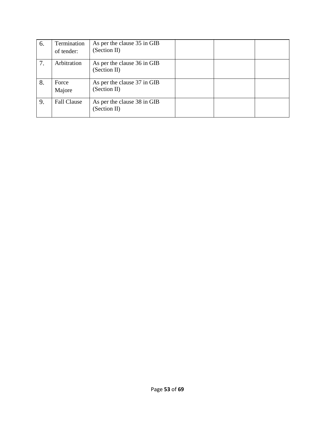| 6. | Termination<br>of tender: | As per the clause 35 in GIB<br>(Section II) |  |  |
|----|---------------------------|---------------------------------------------|--|--|
| 7. | Arbitration               | As per the clause 36 in GIB<br>(Section II) |  |  |
| 8. | Force<br>Majore           | As per the clause 37 in GIB<br>(Section II) |  |  |
| 9. | <b>Fall Clause</b>        | As per the clause 38 in GIB<br>(Section II) |  |  |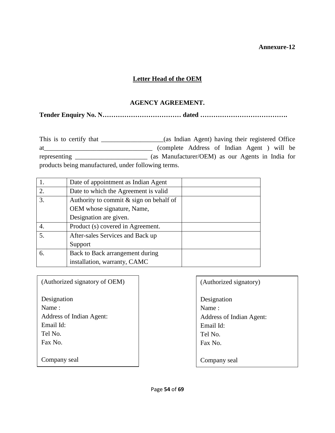#### **Letter Head of the OEM**

#### **AGENCY AGREEMENT.**

**Tender Enquiry No. N……………………………… dated ………………………………….** 

This is to certify that \_\_\_\_\_\_\_\_\_\_\_\_\_\_\_(as Indian Agent) having their registered Office at\_\_\_\_\_\_\_\_\_\_\_\_\_\_\_\_\_\_\_\_\_\_\_\_\_\_\_\_\_\_\_\_\_ (complete Address of Indian Agent ) will be representing \_\_\_\_\_\_\_\_\_\_\_\_\_\_\_\_\_\_\_\_\_\_ (as Manufacturer/OEM) as our Agents in India for products being manufactured, under following terms.

|    | Date of appointment as Indian Agent       |  |
|----|-------------------------------------------|--|
| 2. | Date to which the Agreement is valid      |  |
| 3. | Authority to commit $&$ sign on behalf of |  |
|    | OEM whose signature, Name,                |  |
|    | Designation are given.                    |  |
| 4. | Product (s) covered in Agreement.         |  |
| 5. | After-sales Services and Back up          |  |
|    | Support                                   |  |
| 6. | Back to Back arrangement during           |  |
|    | installation, warranty, CAMC              |  |

| (Authorized signatory of OEM) | (Authorized signatory)   |
|-------------------------------|--------------------------|
|                               |                          |
| Designation                   | Designation              |
| Name:                         | Name:                    |
| Address of Indian Agent:      | Address of Indian Agent: |
| Email Id:                     | Email Id:                |
| Tel No.                       | Tel No.                  |
| Fax No.                       | Fax No.                  |
|                               |                          |
| Company seal                  | Company seal             |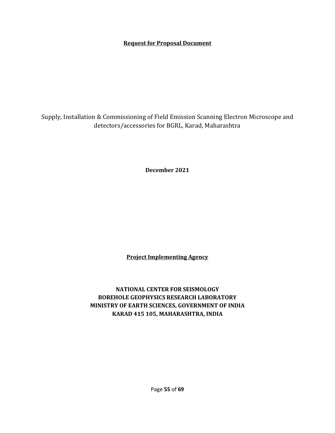#### **Request for Proposal Document**

Supply, Installation & Commissioning of Field Emission Scanning Electron Microscope and detectors/accessories for BGRL, Karad, Maharashtra

**December 2021**

**Project Implementing Agency**

**NATIONAL CENTER FOR SEISMOLOGY BOREHOLE GEOPHYSICS RESEARCH LABORATORY MINISTRY OF EARTH SCIENCES, GOVERNMENT OF INDIA KARAD 415 105, MAHARASHTRA, INDIA**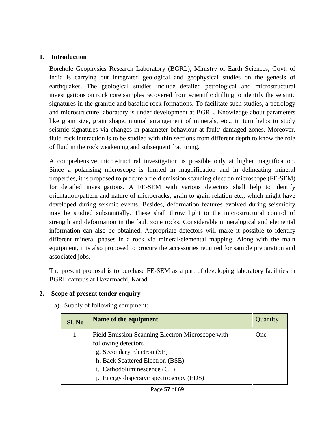#### **1. Introduction**

Borehole Geophysics Research Laboratory (BGRL), Ministry of Earth Sciences, Govt. of India is carrying out integrated geological and geophysical studies on the genesis of earthquakes. The geological studies include detailed petrological and microstructural investigations on rock core samples recovered from scientific drilling to identify the seismic signatures in the granitic and basaltic rock formations. To facilitate such studies, a petrology and microstructure laboratory is under development at BGRL. Knowledge about parameters like grain size, grain shape, mutual arrangement of minerals, etc., in turn helps to study seismic signatures via changes in parameter behaviour at fault/ damaged zones. Moreover, fluid rock interaction is to be studied with thin sections from different depth to know the role of fluid in the rock weakening and subsequent fracturing.

A comprehensive microstructural investigation is possible only at higher magnification. Since a polarising microscope is limited in magnification and in delineating mineral properties, it is proposed to procure a field emission scanning electron microscope (FE-SEM) for detailed investigations. A FE-SEM with various detectors shall help to identify orientation/pattern and nature of microcracks, grain to grain relation etc., which might have developed during seismic events. Besides, deformation features evolved during seismicity may be studied substantially. These shall throw light to the microstructural control of strength and deformation in the fault zone rocks. Considerable mineralogical and elemental information can also be obtained. Appropriate detectors will make it possible to identify different mineral phases in a rock via mineral/elemental mapping. Along with the main equipment, it is also proposed to procure the accessories required for sample preparation and associated jobs.

The present proposal is to purchase FE-SEM as a part of developing laboratory facilities in BGRL campus at Hazarmachi, Karad.

#### **2. Scope of present tender enquiry**

a) Supply of following equipment:

| Sl. No | Name of the equipment                            | Quantity |
|--------|--------------------------------------------------|----------|
| 1.     | Field Emission Scanning Electron Microscope with | One      |
|        | following detectors                              |          |
|        | g. Secondary Electron (SE)                       |          |
|        | h. Back Scattered Electron (BSE)                 |          |
|        | i. Cathodoluminescence (CL)                      |          |
|        | <i>i.</i> Energy dispersive spectroscopy (EDS)   |          |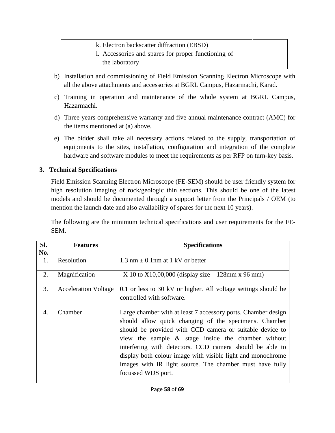| k. Electron backscatter diffraction (EBSD)<br>1. Accessories and spares for proper functioning of<br>the laboratory |  |
|---------------------------------------------------------------------------------------------------------------------|--|
|                                                                                                                     |  |

- b) Installation and commissioning of Field Emission Scanning Electron Microscope with all the above attachments and accessories at BGRL Campus, Hazarmachi, Karad.
- c) Training in operation and maintenance of the whole system at BGRL Campus, Hazarmachi.
- d) Three years comprehensive warranty and five annual maintenance contract (AMC) for the items mentioned at (a) above.
- e) The bidder shall take all necessary actions related to the supply, transportation of equipments to the sites, installation, configuration and integration of the complete hardware and software modules to meet the requirements as per RFP on turn-key basis.

#### **3. Technical Specifications**

Field Emission Scanning Electron Microscope (FE-SEM) should be user friendly system for high resolution imaging of rock/geologic thin sections. This should be one of the latest models and should be documented through a support letter from the Principals / OEM (to mention the launch date and also availability of spares for the next 10 years).

The following are the minimum technical specifications and user requirements for the FE-SEM.

| SI. | <b>Features</b>             | <b>Specifications</b>                                                                                                                                                                                                                                                                                                                                                                                                                                 |
|-----|-----------------------------|-------------------------------------------------------------------------------------------------------------------------------------------------------------------------------------------------------------------------------------------------------------------------------------------------------------------------------------------------------------------------------------------------------------------------------------------------------|
| No. |                             |                                                                                                                                                                                                                                                                                                                                                                                                                                                       |
| 1.  | Resolution                  | 1.3 nm $\pm$ 0.1 nm at 1 kV or better                                                                                                                                                                                                                                                                                                                                                                                                                 |
| 2.  | Magnification               | X 10 to X10,00,000 (display size $-128$ mm x 96 mm)                                                                                                                                                                                                                                                                                                                                                                                                   |
| 3.  | <b>Acceleration Voltage</b> | 0.1 or less to 30 kV or higher. All voltage settings should be<br>controlled with software.                                                                                                                                                                                                                                                                                                                                                           |
| 4.  | Chamber                     | Large chamber with at least 7 accessory ports. Chamber design<br>should allow quick changing of the specimens. Chamber<br>should be provided with CCD camera or suitable device to<br>view the sample & stage inside the chamber without<br>interfering with detectors. CCD camera should be able to<br>display both colour image with visible light and monochrome<br>images with IR light source. The chamber must have fully<br>focussed WDS port. |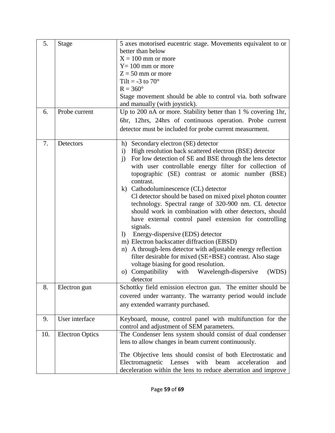| 5.  | <b>Stage</b>           | 5 axes motorised eucentric stage. Movements equivalent to or                                 |
|-----|------------------------|----------------------------------------------------------------------------------------------|
|     |                        | better than below                                                                            |
|     |                        | $X = 100$ mm or more                                                                         |
|     |                        | $Y = 100$ mm or more                                                                         |
|     |                        | $Z = 50$ mm or more                                                                          |
|     |                        | Tilt = $-3$ to $70^{\circ}$                                                                  |
|     |                        | $R = 360^\circ$                                                                              |
|     |                        | Stage movement should be able to control via. both software<br>and manually (with joystick). |
| 6.  | Probe current          | Up to 200 nA or more. Stability better than 1 % covering 1hr,                                |
|     |                        | 6hr, 12hrs, 24hrs of continuous operation. Probe current                                     |
|     |                        | detector must be included for probe current measurment.                                      |
|     |                        |                                                                                              |
| 7.  | Detectors              | Secondary electron (SE) detector<br>h)                                                       |
|     |                        | High resolution back scattered electron (BSE) detector<br>$\mathbf{i}$                       |
|     |                        | For low detection of SE and BSE through the lens detector<br>$\mathbf{j}$                    |
|     |                        | with user controllable energy filter for collection of                                       |
|     |                        | topographic (SE) contrast or atomic number (BSE)                                             |
|     |                        | contrast.                                                                                    |
|     |                        | k) Cathodoluminescence (CL) detector                                                         |
|     |                        | Cl detector should be based on mixed pixel photon counter                                    |
|     |                        | technology. Spectral range of 320-900 nm. CL detector                                        |
|     |                        | should work in combination with other detectors, should                                      |
|     |                        | have external control panel extension for controlling                                        |
|     |                        | signals.                                                                                     |
|     |                        | Energy-dispersive (EDS) detector<br>$\left  \right\rangle$                                   |
|     |                        | m) Electron backscatter diffraction (EBSD)                                                   |
|     |                        | A through-lens detector with adjustable energy reflection<br>n)                              |
|     |                        | filter desirable for mixed (SE+BSE) contrast. Also stage                                     |
|     |                        | voltage biasing for good resolution.                                                         |
|     |                        | Compatibility<br>with Wavelength-dispersive<br>(WDS)<br>O)                                   |
|     |                        | detector                                                                                     |
| 8.  | Electron gun           | Schottky field emission electron gun. The emitter should be                                  |
|     |                        | covered under warranty. The warranty period would include                                    |
|     |                        | any extended warranty purchased.                                                             |
|     |                        |                                                                                              |
| 9.  | User interface         | Keyboard, mouse, control panel with multifunction for the                                    |
|     |                        | control and adjustment of SEM parameters.                                                    |
| 10. | <b>Electron Optics</b> | The Condenser lens system should consist of dual condenser                                   |
|     |                        | lens to allow changes in beam current continuously.                                          |
|     |                        | The Objective lens should consist of both Electrostatic and                                  |
|     |                        | Electromagnetic<br>Lenses<br>with<br>beam<br>acceleration<br>and                             |
|     |                        | deceleration within the lens to reduce aberration and improve                                |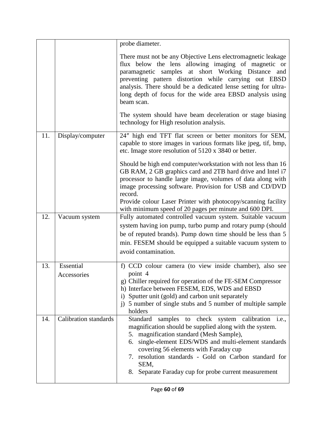|     |                              | probe diameter.                                                                                                                                                                                                                                                                                                                                                                                |
|-----|------------------------------|------------------------------------------------------------------------------------------------------------------------------------------------------------------------------------------------------------------------------------------------------------------------------------------------------------------------------------------------------------------------------------------------|
|     |                              | There must not be any Objective Lens electromagnetic leakage<br>flux below the lens allowing imaging of magnetic or<br>paramagnetic samples at short Working Distance and<br>preventing pattern distortion while carrying out EBSD<br>analysis. There should be a dedicated lense setting for ultra-<br>long depth of focus for the wide area EBSD analysis using<br>beam scan.                |
|     |                              | The system should have beam deceleration or stage biasing<br>technology for High resolution analysis.                                                                                                                                                                                                                                                                                          |
| 11. | Display/computer             | 24" high end TFT flat screen or better monitors for SEM,<br>capable to store images in various formats like jpeg, tif, bmp,<br>etc. Image store resolution of 5120 x 3840 or better.                                                                                                                                                                                                           |
|     |                              | Should be high end computer/workstation with not less than 16<br>GB RAM, 2 GB graphics card and 2TB hard drive and Intel i7<br>processor to handle large image, volumes of data along with<br>image processing software. Provision for USB and CD/DVD<br>record.<br>Provide colour Laser Printer with photocopy/scanning facility                                                              |
| 12. |                              | with minimum speed of 20 pages per minute and 600 DPI.                                                                                                                                                                                                                                                                                                                                         |
|     | Vacuum system                | Fully automated controlled vacuum system. Suitable vacuum<br>system having ion pump, turbo pump and rotary pump (should<br>be of reputed brands). Pump down time should be less than 5<br>min. FESEM should be equipped a suitable vacuum system to<br>avoid contamination.                                                                                                                    |
| 13. | Essential                    | f) CCD colour camera (to view inside chamber), also see                                                                                                                                                                                                                                                                                                                                        |
|     | Accessories                  | point 4<br>g) Chiller required for operation of the FE-SEM Compressor<br>h) Interface between FESEM, EDS, WDS and EBSD<br>i) Sputter unit (gold) and carbon unit separately<br>j) 5 number of single stubs and 5 number of multiple sample<br>holders                                                                                                                                          |
| 14. | <b>Calibration</b> standards | Standard<br>samples to check system calibration i.e.,<br>magnification should be supplied along with the system.<br>5. magnification standard (Mesh Sample),<br>single-element EDS/WDS and multi-element standards<br>6.<br>covering 56 elements with Faraday cup<br>7. resolution standards - Gold on Carbon standard for<br>SEM,<br>Separate Faraday cup for probe current measurement<br>8. |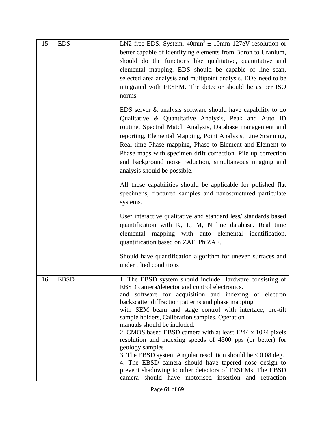| 15. | <b>EDS</b>  | LN2 free EDS. System. $40mm^2 \pm 10mm$ 127eV resolution or<br>better capable of identifying elements from Boron to Uranium,<br>should do the functions like qualitative, quantitative and<br>elemental mapping. EDS should be capable of line scan,<br>selected area analysis and multipoint analysis. EDS need to be<br>integrated with FESEM. The detector should be as per ISO<br>norms.                                                                                                                                                                                                                                                                                                                                                                        |
|-----|-------------|---------------------------------------------------------------------------------------------------------------------------------------------------------------------------------------------------------------------------------------------------------------------------------------------------------------------------------------------------------------------------------------------------------------------------------------------------------------------------------------------------------------------------------------------------------------------------------------------------------------------------------------------------------------------------------------------------------------------------------------------------------------------|
|     |             | EDS server $\&$ analysis software should have capability to do<br>Qualitative & Quantitative Analysis, Peak and Auto ID<br>routine, Spectral Match Analysis, Database management and<br>reporting, Elemental Mapping, Point Analysis, Line Scanning,<br>Real time Phase mapping, Phase to Element and Element to<br>Phase maps with specimen drift correction. Pile up correction<br>and background noise reduction, simultaneous imaging and<br>analysis should be possible.                                                                                                                                                                                                                                                                                       |
|     |             | All these capabilities should be applicable for polished flat<br>specimens, fractured samples and nanostructured particulate<br>systems.                                                                                                                                                                                                                                                                                                                                                                                                                                                                                                                                                                                                                            |
|     |             | User interactive qualitative and standard less/ standards based<br>quantification with K, L, M, N line database. Real time<br>elemental mapping with auto elemental identification,<br>quantification based on ZAF, PhiZAF.                                                                                                                                                                                                                                                                                                                                                                                                                                                                                                                                         |
|     |             | Should have quantification algorithm for uneven surfaces and<br>under tilted conditions                                                                                                                                                                                                                                                                                                                                                                                                                                                                                                                                                                                                                                                                             |
| 16. | <b>EBSD</b> | 1. The EBSD system should include Hardware consisting of<br>EBSD camera/detector and control electronics.<br>and software for acquisition and indexing of electron<br>backscatter diffraction patterns and phase mapping<br>with SEM beam and stage control with interface, pre-tilt<br>sample holders, Calibration samples, Operation<br>manuals should be included.<br>2. CMOS based EBSD camera with at least 1244 x 1024 pixels<br>resolution and indexing speeds of 4500 pps (or better) for<br>geology samples<br>3. The EBSD system Angular resolution should be $< 0.08$ deg.<br>4. The EBSD camera should have tapered nose design to<br>prevent shadowing to other detectors of FESEMs. The EBSD<br>camera should have motorised insertion and retraction |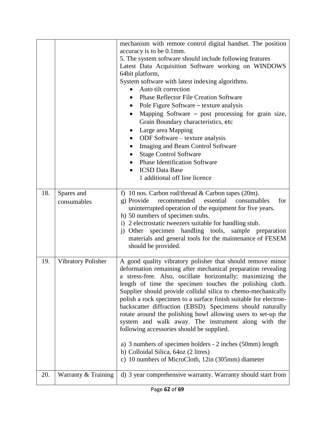|     |                           | mechanism with remote control digital handset. The position<br>accuracy is to be 0.1mm.<br>5. The system software should include following features<br>Latest Data Acquisition Software working on WINDOWS<br>64bit platform,<br>System software with latest indexing algorithms.<br>Auto tilt correction<br><b>Phase Reflector File Creation Software</b><br>Pole Figure Software – texture analysis<br>$\bullet$<br>Mapping Software – post processing for grain size,<br>Grain Boundary characteristics, etc<br>Large area Mapping<br>ODF Software - texture analysis<br>$\bullet$<br>Imaging and Beam Control Software<br><b>Stage Control Software</b><br><b>Phase Identification Software</b><br><b>ICSD</b> Data Base<br>1 additional off line licence                             |
|-----|---------------------------|-------------------------------------------------------------------------------------------------------------------------------------------------------------------------------------------------------------------------------------------------------------------------------------------------------------------------------------------------------------------------------------------------------------------------------------------------------------------------------------------------------------------------------------------------------------------------------------------------------------------------------------------------------------------------------------------------------------------------------------------------------------------------------------------|
| 18. | Spares and<br>consumables | f) 10 nos. Carbon rod/thread & Carbon tapes (20m).<br>recommended<br>essential<br>g) Provide<br>consumables<br>for<br>uninterrupted operation of the equipment for five years.<br>h) 50 numbers of specimen stubs.                                                                                                                                                                                                                                                                                                                                                                                                                                                                                                                                                                        |
|     |                           | i) 2 electrostatic tweezers suitable for handling stub.<br>j) Other specimen handling tools, sample preparation<br>materials and general tools for the maintenance of FESEM<br>should be provided.                                                                                                                                                                                                                                                                                                                                                                                                                                                                                                                                                                                        |
| 19. | Vibratory Polisher        | A good quality vibratory polisher that should remove minor<br>deformation remaining after mechanical preparation revealing<br>a stress-free. Also, oscillate horizontally; maximizing the<br>length of time the specimen touches the polishing cloth.<br>Supplier should provide collidal silica to chemo-mechanically<br>polish a rock specimen to a surface finish suitable for electron-<br>backscatter diffraction (EBSD). Specimens should naturally<br>rotate around the polishing bowl allowing users to set-up the<br>system and walk away. The instrument along with the<br>following accessories should be supplied.<br>a) 3 numbers of specimen holders - 2 inches (50mm) length<br>b) Colloidal Silica, 64oz (2 litres)<br>c) 10 numbers of MicroCloth, 12in (305mm) diameter |
| 20. | Warranty & Training       | d) 3 year comprehensive warranty. Warranty should start from                                                                                                                                                                                                                                                                                                                                                                                                                                                                                                                                                                                                                                                                                                                              |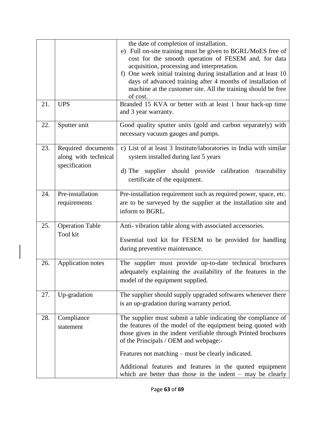|     |                                                             | the date of completion of installation.<br>e) Full on-site training must be given to BGRL/MoES free of<br>cost for the smooth operation of FESEM and, for data<br>acquisition, processing and interpretation.<br>f) One week initial training during installation and at least 10<br>days of advanced training after 4 months of installation of<br>machine at the customer site. All the training should be free<br>of cost. |
|-----|-------------------------------------------------------------|-------------------------------------------------------------------------------------------------------------------------------------------------------------------------------------------------------------------------------------------------------------------------------------------------------------------------------------------------------------------------------------------------------------------------------|
| 21. | <b>UPS</b>                                                  | Branded 15 KVA or better with at least 1 hour back-up time<br>and 3 year warranty.                                                                                                                                                                                                                                                                                                                                            |
| 22. | Sputter unit                                                | Good quality sputter units (gold and carbon separately) with<br>necessary vacuum gauges and pumps.                                                                                                                                                                                                                                                                                                                            |
| 23. | Required documents<br>along with technical<br>specification | c) List of at least 3 Institute/laboratories in India with similar<br>system installed during last 5 years<br>d) The supplier should provide calibration /traceability<br>certificate of the equipment.                                                                                                                                                                                                                       |
| 24. | Pre-installation<br>requirements                            | Pre-installation requirement such as required power, space, etc.<br>are to be surveyed by the supplier at the installation site and<br>inform to BGRL.                                                                                                                                                                                                                                                                        |
| 25. | <b>Operation Table</b><br>Tool kit                          | Anti-vibration table along with associated accessories.<br>Essential tool kit for FESEM to be provided for handling<br>during preventive maintenance.                                                                                                                                                                                                                                                                         |
| 26. | <b>Application notes</b>                                    | The supplier must provide up-to-date technical brochures<br>adequately explaining the availability of the features in the<br>model of the equipment supplied.                                                                                                                                                                                                                                                                 |
| 27. | Up-gradation                                                | The supplier should supply upgraded softwares whenever there<br>is an up-gradation during warranty period.                                                                                                                                                                                                                                                                                                                    |
| 28. | Compliance<br>statement                                     | The supplier must submit a table indicating the compliance of<br>the features of the model of the equipment being quoted with<br>those given in the indent verifiable through Printed brochures<br>of the Principals / OEM and webpage:-<br>Features not matching – must be clearly indicated.<br>Additional features and features in the quoted equipment<br>which are better than those in the indent $-$ may be clearly    |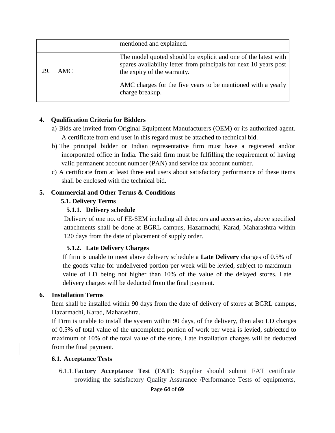|    |      | mentioned and explained.                                                                                                                                           |
|----|------|--------------------------------------------------------------------------------------------------------------------------------------------------------------------|
| 29 | AMC. | The model quoted should be explicit and one of the latest with<br>spares availability letter from principals for next 10 years post<br>the expiry of the warranty. |
|    |      | AMC charges for the five years to be mentioned with a yearly<br>charge breakup.                                                                                    |

#### **4. Qualification Criteria for Bidders**

- a) Bids are invited from Original Equipment Manufacturers (OEM) or its authorized agent. A certificate from end user in this regard must be attached to technical bid.
- b) The principal bidder or Indian representative firm must have a registered and/or incorporated office in India. The said firm must be fulfilling the requirement of having valid permanent account number (PAN) and service tax account number.
- c) A certificate from at least three end users about satisfactory performance of these items shall be enclosed with the technical bid.

#### **5. Commercial and Other Terms & Conditions**

#### **5.1. Delivery Terms**

#### **5.1.1. Delivery schedule**

Delivery of one no. of FE-SEM including all detectors and accessories, above specified attachments shall be done at BGRL campus, Hazarmachi, Karad, Maharashtra within 120 days from the date of placement of supply order.

#### **5.1.2. Late Delivery Charges**

If firm is unable to meet above delivery schedule a **Late Delivery** charges of 0.5% of the goods value for undelivered portion per week will be levied, subject to maximum value of LD being not higher than 10% of the value of the delayed stores. Late delivery charges will be deducted from the final payment.

#### **6. Installation Terms**

Item shall be installed within 90 days from the date of delivery of stores at BGRL campus, Hazarmachi, Karad, Maharashtra.

If Firm is unable to install the system within 90 days, of the delivery, then also LD charges of 0.5% of total value of the uncompleted portion of work per week is levied, subjected to maximum of 10% of the total value of the store. Late installation charges will be deducted from the final payment.

#### **6.1. Acceptance Tests**

6.1.1.**Factory Acceptance Test (FAT):** Supplier should submit FAT certificate providing the satisfactory Quality Assurance /Performance Tests of equipments,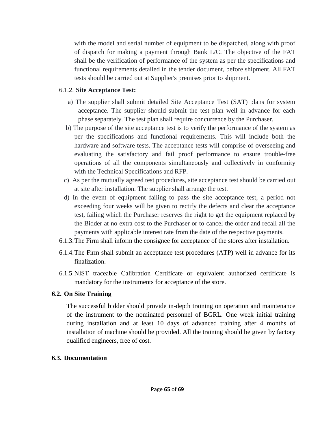with the model and serial number of equipment to be dispatched, along with proof of dispatch for making a payment through Bank L/C. The objective of the FAT shall be the verification of performance of the system as per the specifications and functional requirements detailed in the tender document, before shipment. All FAT tests should be carried out at Supplier's premises prior to shipment.

#### 6.1.2. **Site Acceptance Test:**

- a) The supplier shall submit detailed Site Acceptance Test (SAT) plans for system acceptance. The supplier should submit the test plan well in advance for each phase separately. The test plan shall require concurrence by the Purchaser.
- b) The purpose of the site acceptance test is to verify the performance of the system as per the specifications and functional requirements. This will include both the hardware and software tests. The acceptance tests will comprise of overseeing and evaluating the satisfactory and fail proof performance to ensure trouble-free operations of all the components simultaneously and collectively in conformity with the Technical Specifications and RFP.
- c) As per the mutually agreed test procedures, site acceptance test should be carried out at site after installation. The supplier shall arrange the test.
- d) In the event of equipment failing to pass the site acceptance test, a period not exceeding four weeks will be given to rectify the defects and clear the acceptance test, failing which the Purchaser reserves the right to get the equipment replaced by the Bidder at no extra cost to the Purchaser or to cancel the order and recall all the payments with applicable interest rate from the date of the respective payments.
- 6.1.3.The Firm shall inform the consignee for acceptance of the stores after installation.
- 6.1.4.The Firm shall submit an acceptance test procedures (ATP) well in advance for its finalization.
- 6.1.5.NIST traceable Calibration Certificate or equivalent authorized certificate is mandatory for the instruments for acceptance of the store.

#### **6.2. On Site Training**

The successful bidder should provide in-depth training on operation and maintenance of the instrument to the nominated personnel of BGRL. One week initial training during installation and at least 10 days of advanced training after 4 months of installation of machine should be provided. All the training should be given by factory qualified engineers, free of cost.

#### **6.3. Documentation**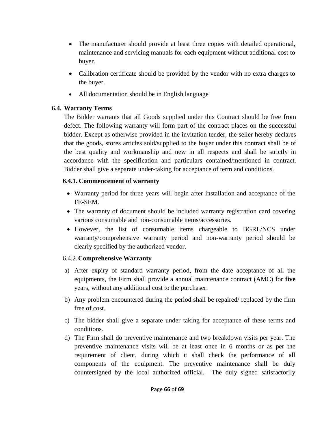- The manufacturer should provide at least three copies with detailed operational, maintenance and servicing manuals for each equipment without additional cost to buyer.
- Calibration certificate should be provided by the vendor with no extra charges to the buyer.
- All documentation should be in English language

#### **6.4. Warranty Terms**

The Bidder warrants that all Goods supplied under this Contract should be free from defect. The following warranty will form part of the contract places on the successful bidder. Except as otherwise provided in the invitation tender, the seller hereby declares that the goods, stores articles sold/supplied to the buyer under this contract shall be of the best quality and workmanship and new in all respects and shall be strictly in accordance with the specification and particulars contained/mentioned in contract. Bidder shall give a separate under-taking for acceptance of term and conditions.

#### **6.4.1. Commencement of warranty**

- Warranty period for three years will begin after installation and acceptance of the FE-SEM.
- The warranty of document should be included warranty registration card covering various consumable and non-consumable items/accessories.
- However, the list of consumable items chargeable to BGRL/NCS under warranty/comprehensive warranty period and non-warranty period should be clearly specified by the authorized vendor.

#### 6.4.2.**Comprehensive Warranty**

- a) After expiry of standard warranty period, from the date acceptance of all the equipments, the Firm shall provide a annual maintenance contract (AMC) for **five** years, without any additional cost to the purchaser.
- b) Any problem encountered during the period shall be repaired/ replaced by the firm free of cost.
- c) The bidder shall give a separate under taking for acceptance of these terms and conditions.
- d) The Firm shall do preventive maintenance and two breakdown visits per year. The preventive maintenance visits will be at least once in 6 months or as per the requirement of client, during which it shall check the performance of all components of the equipment. The preventive maintenance shall be duly countersigned by the local authorized official. The duly signed satisfactorily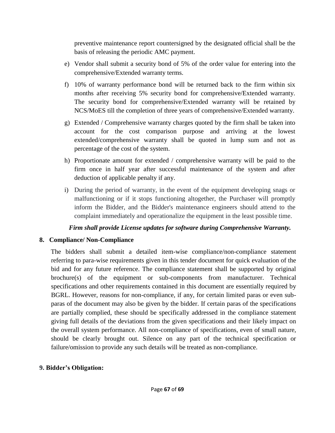preventive maintenance report countersigned by the designated official shall be the basis of releasing the periodic AMC payment.

- e) Vendor shall submit a security bond of 5% of the order value for entering into the comprehensive/Extended warranty terms.
- f) 10% of warranty performance bond will be returned back to the firm within six months after receiving 5% security bond for comprehensive/Extended warranty. The security bond for comprehensive/Extended warranty will be retained by NCS/MoES till the completion of three years of comprehensive/Extended warranty.
- g) Extended / Comprehensive warranty charges quoted by the firm shall be taken into account for the cost comparison purpose and arriving at the lowest extended/comprehensive warranty shall be quoted in lump sum and not as percentage of the cost of the system.
- h) Proportionate amount for extended / comprehensive warranty will be paid to the firm once in half year after successful maintenance of the system and after deduction of applicable penalty if any.
- i) During the period of warranty, in the event of the equipment developing snags or malfunctioning or if it stops functioning altogether, the Purchaser will promptly inform the Bidder, and the Bidder's maintenance engineers should attend to the complaint immediately and operationalize the equipment in the least possible time.

#### *Firm shall provide License updates for software during Comprehensive Warranty.*

#### **8. Compliance/ Non-Compliance**

The bidders shall submit a detailed item-wise compliance/non-compliance statement referring to para-wise requirements given in this tender document for quick evaluation of the bid and for any future reference. The compliance statement shall be supported by original brochure(s) of the equipment or sub-components from manufacturer. Technical specifications and other requirements contained in this document are essentially required by BGRL. However, reasons for non-compliance, if any, for certain limited paras or even subparas of the document may also be given by the bidder. If certain paras of the specifications are partially complied, these should be specifically addressed in the compliance statement giving full details of the deviations from the given specifications and their likely impact on the overall system performance. All non-compliance of specifications, even of small nature, should be clearly brought out. Silence on any part of the technical specification or failure/omission to provide any such details will be treated as non-compliance.

#### **9. Bidder's Obligation:**